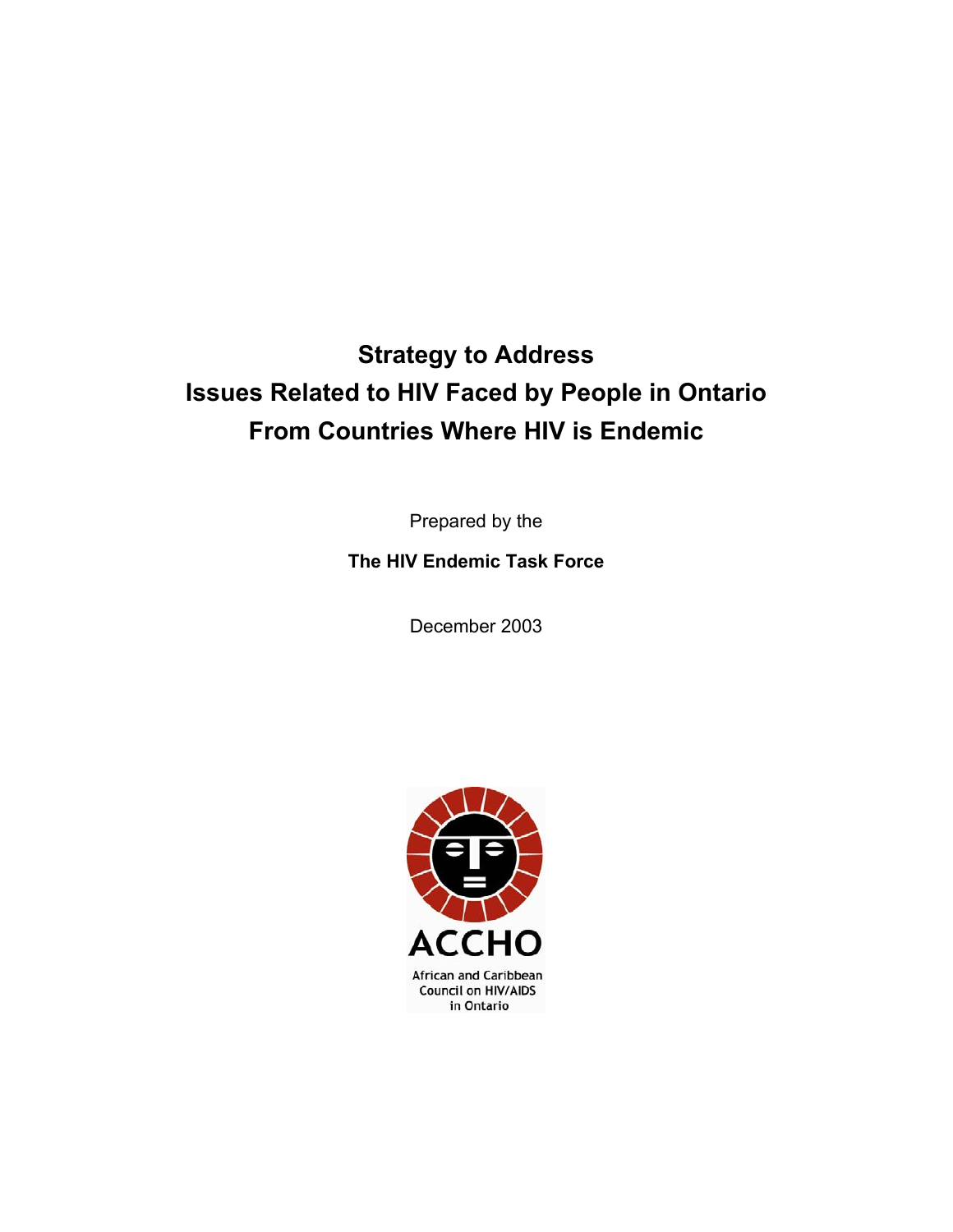# **Strategy to Address Issues Related to HIV Faced by People in Ontario From Countries Where HIV is Endemic**

Prepared by the

**The HIV Endemic Task Force** 

December 2003

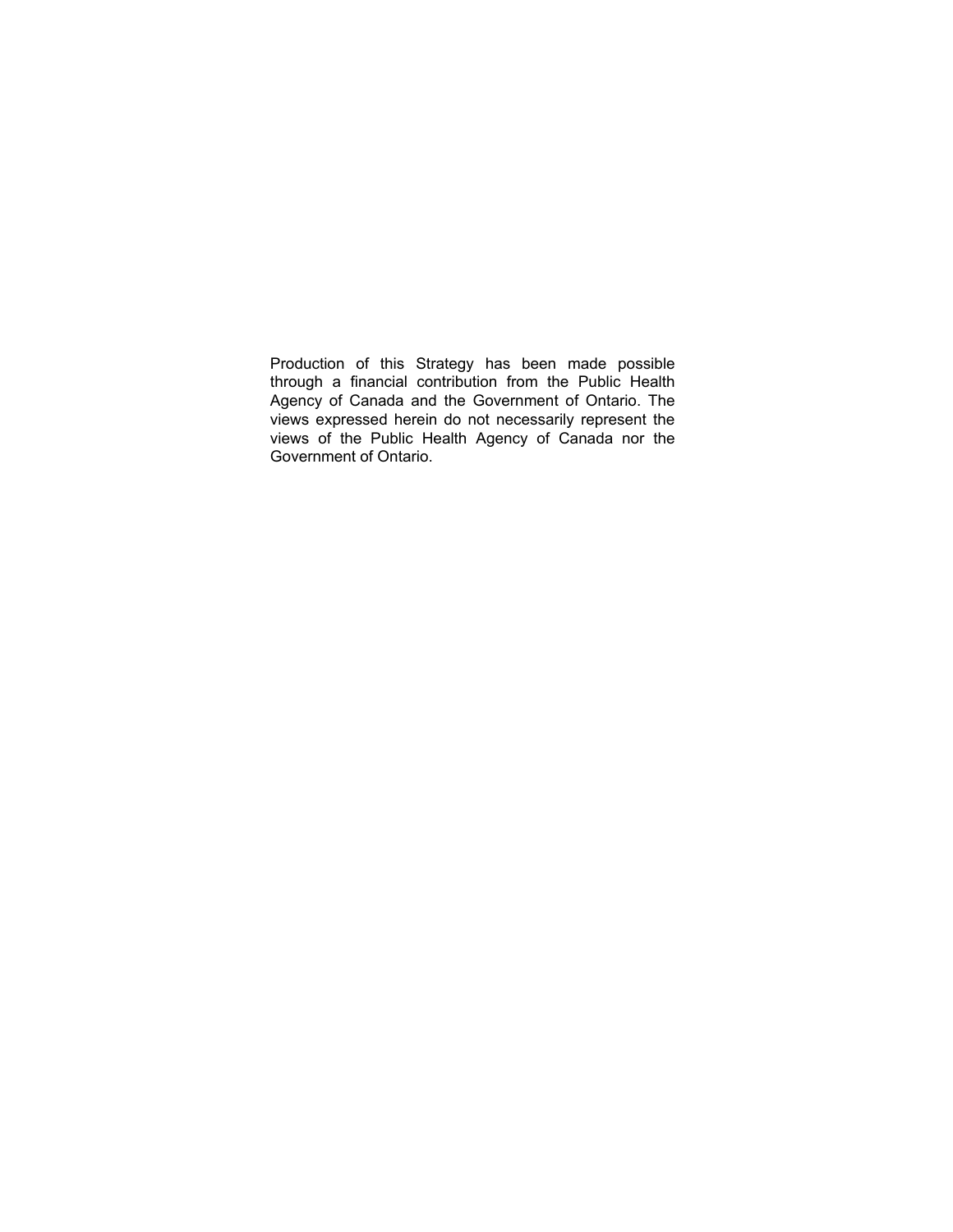Production of this Strategy has been made possible through a financial contribution from the Public Health Agency of Canada and the Government of Ontario. The views expressed herein do not necessarily represent the views of the Public Health Agency of Canada nor the Government of Ontario.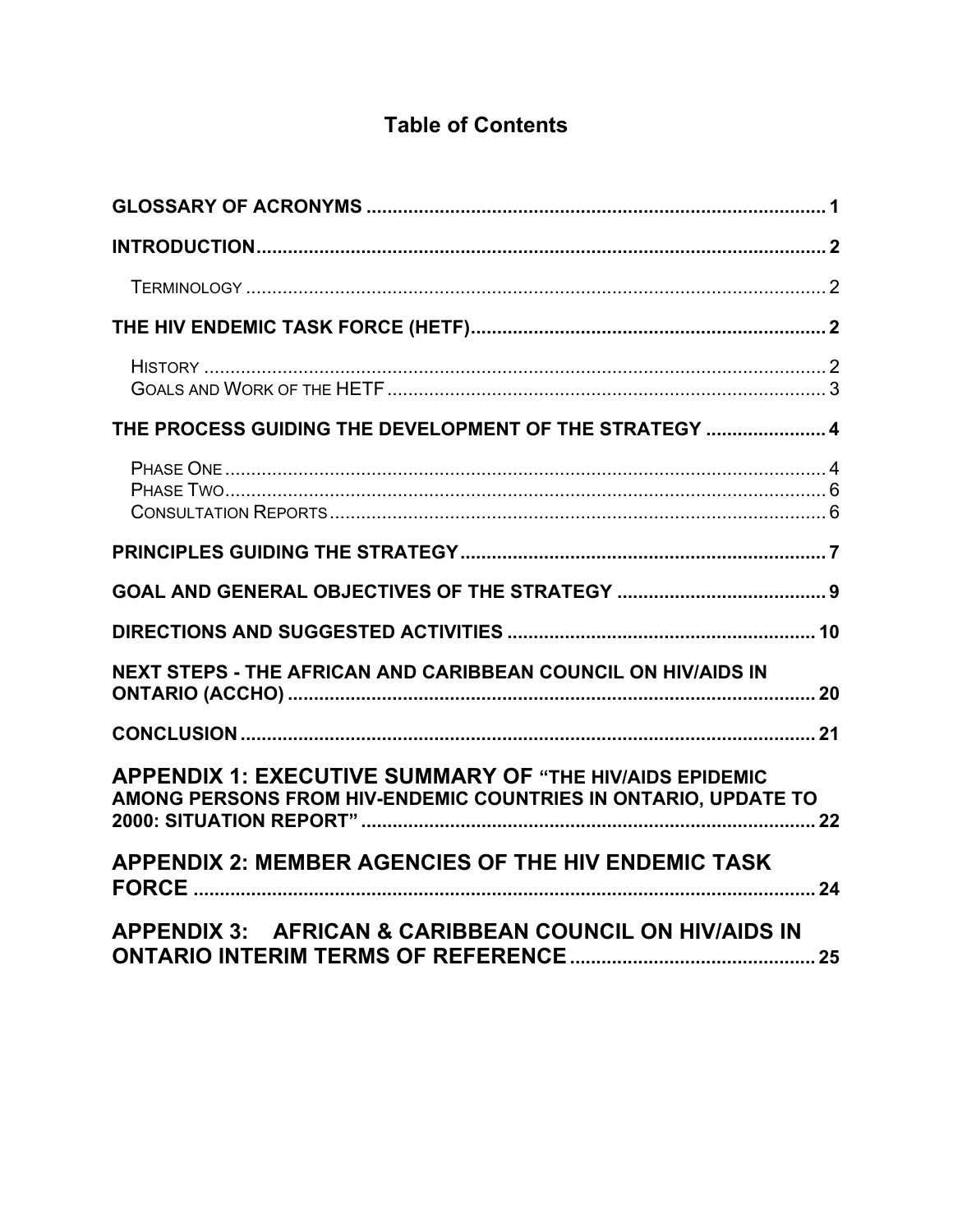## **Table of Contents**

| THE PROCESS GUIDING THE DEVELOPMENT OF THE STRATEGY  4                                                                           |  |
|----------------------------------------------------------------------------------------------------------------------------------|--|
|                                                                                                                                  |  |
|                                                                                                                                  |  |
|                                                                                                                                  |  |
|                                                                                                                                  |  |
| <b>NEXT STEPS - THE AFRICAN AND CARIBBEAN COUNCIL ON HIV/AIDS IN</b>                                                             |  |
|                                                                                                                                  |  |
| <b>APPENDIX 1: EXECUTIVE SUMMARY OF "THE HIV/AIDS EPIDEMIC</b><br>AMONG PERSONS FROM HIV-ENDEMIC COUNTRIES IN ONTARIO, UPDATE TO |  |
| <b>APPENDIX 2: MEMBER AGENCIES OF THE HIV ENDEMIC TASK</b>                                                                       |  |
| APPENDIX 3: AFRICAN & CARIBBEAN COUNCIL ON HIV/AIDS IN                                                                           |  |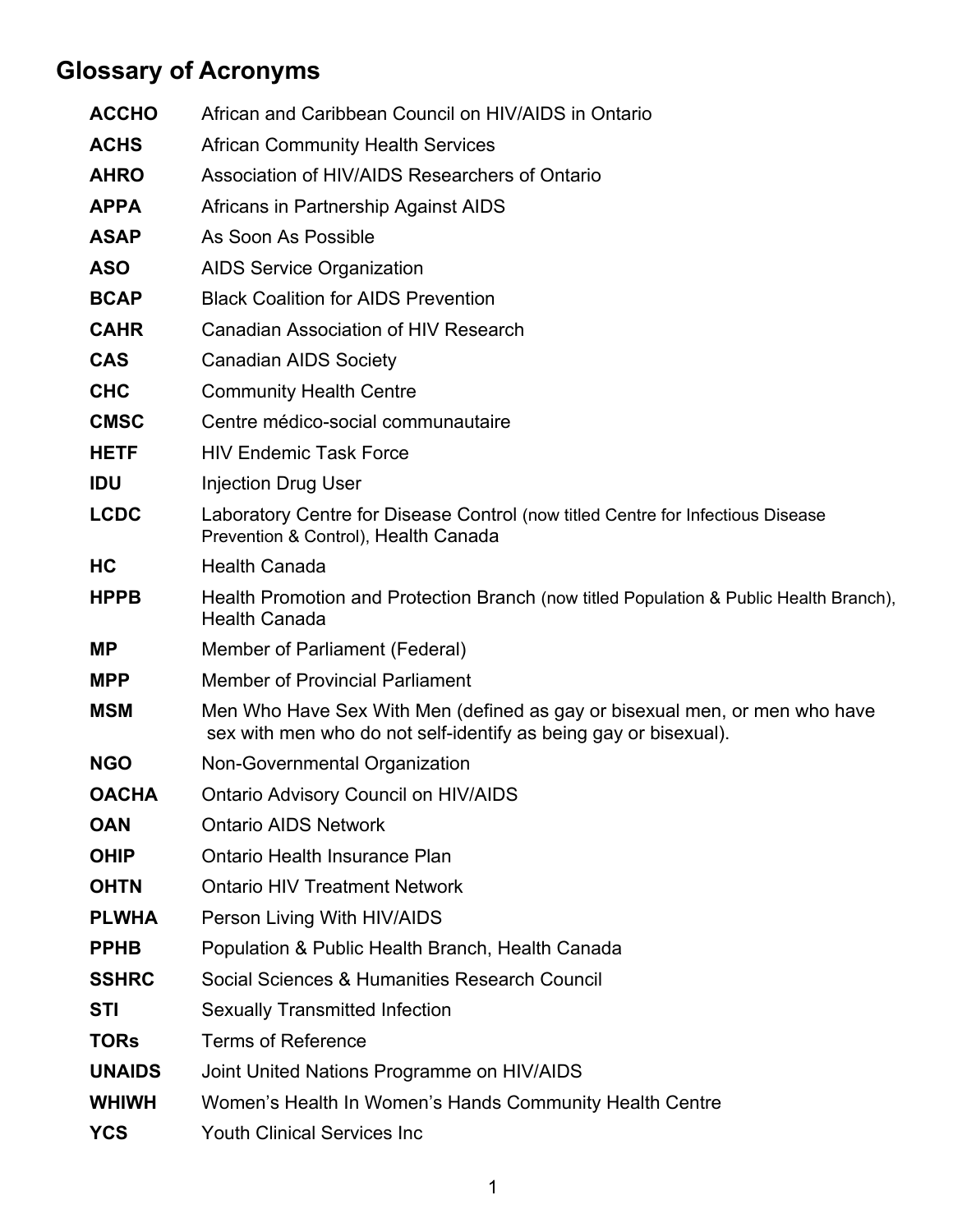# **Glossary of Acronyms**

| <b>ACCHO</b>  | African and Caribbean Council on HIV/AIDS in Ontario                                                                                           |
|---------------|------------------------------------------------------------------------------------------------------------------------------------------------|
| <b>ACHS</b>   | <b>African Community Health Services</b>                                                                                                       |
| <b>AHRO</b>   | Association of HIV/AIDS Researchers of Ontario                                                                                                 |
| <b>APPA</b>   | Africans in Partnership Against AIDS                                                                                                           |
| <b>ASAP</b>   | As Soon As Possible                                                                                                                            |
| <b>ASO</b>    | <b>AIDS Service Organization</b>                                                                                                               |
| <b>BCAP</b>   | <b>Black Coalition for AIDS Prevention</b>                                                                                                     |
| <b>CAHR</b>   | Canadian Association of HIV Research                                                                                                           |
| <b>CAS</b>    | <b>Canadian AIDS Society</b>                                                                                                                   |
| <b>CHC</b>    | <b>Community Health Centre</b>                                                                                                                 |
| <b>CMSC</b>   | Centre médico-social communautaire                                                                                                             |
| <b>HETF</b>   | <b>HIV Endemic Task Force</b>                                                                                                                  |
| <b>IDU</b>    | <b>Injection Drug User</b>                                                                                                                     |
| <b>LCDC</b>   | Laboratory Centre for Disease Control (now titled Centre for Infectious Disease<br>Prevention & Control), Health Canada                        |
| HC            | <b>Health Canada</b>                                                                                                                           |
| <b>HPPB</b>   | Health Promotion and Protection Branch (now titled Population & Public Health Branch),<br><b>Health Canada</b>                                 |
| <b>MP</b>     | Member of Parliament (Federal)                                                                                                                 |
| <b>MPP</b>    | <b>Member of Provincial Parliament</b>                                                                                                         |
| <b>MSM</b>    | Men Who Have Sex With Men (defined as gay or bisexual men, or men who have<br>sex with men who do not self-identify as being gay or bisexual). |
| <b>NGO</b>    | Non-Governmental Organization                                                                                                                  |
| <b>OACHA</b>  | <b>Ontario Advisory Council on HIV/AIDS</b>                                                                                                    |
| <b>OAN</b>    | <b>Ontario AIDS Network</b>                                                                                                                    |
| <b>OHIP</b>   | Ontario Health Insurance Plan                                                                                                                  |
| <b>OHTN</b>   | <b>Ontario HIV Treatment Network</b>                                                                                                           |
| <b>PLWHA</b>  | Person Living With HIV/AIDS                                                                                                                    |
| <b>PPHB</b>   | Population & Public Health Branch, Health Canada                                                                                               |
| <b>SSHRC</b>  | Social Sciences & Humanities Research Council                                                                                                  |
| <b>STI</b>    | <b>Sexually Transmitted Infection</b>                                                                                                          |
| <b>TORs</b>   | <b>Terms of Reference</b>                                                                                                                      |
| <b>UNAIDS</b> | Joint United Nations Programme on HIV/AIDS                                                                                                     |
| <b>WHIWH</b>  | Women's Health In Women's Hands Community Health Centre                                                                                        |
| <b>YCS</b>    | <b>Youth Clinical Services Inc</b>                                                                                                             |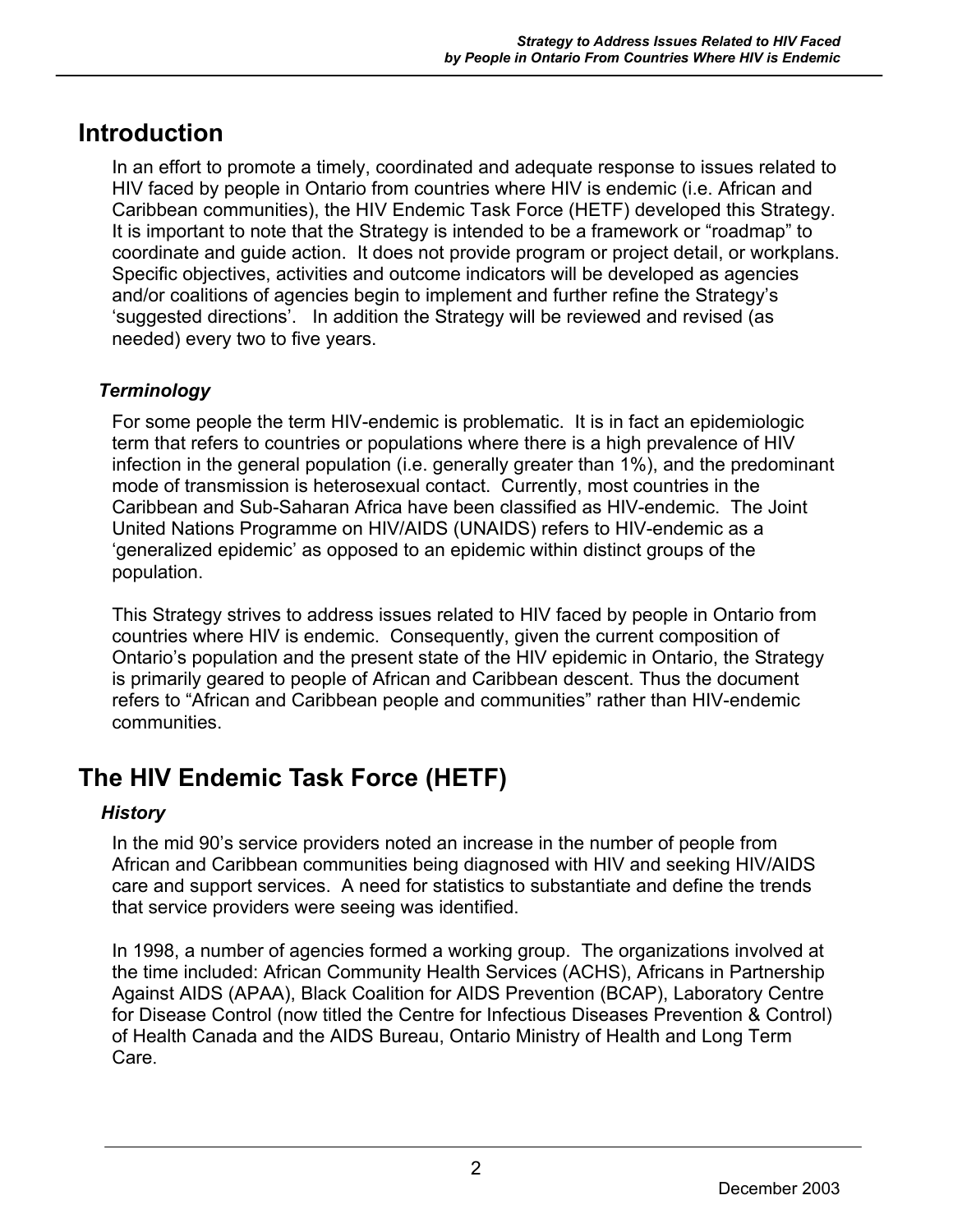## **Introduction**

In an effort to promote a timely, coordinated and adequate response to issues related to HIV faced by people in Ontario from countries where HIV is endemic (i.e. African and Caribbean communities), the HIV Endemic Task Force (HETF) developed this Strategy. It is important to note that the Strategy is intended to be a framework or "roadmap" to coordinate and guide action. It does not provide program or project detail, or workplans. Specific objectives, activities and outcome indicators will be developed as agencies and/or coalitions of agencies begin to implement and further refine the Strategy's 'suggested directions'. In addition the Strategy will be reviewed and revised (as needed) every two to five years.

### *Terminology*

For some people the term HIV-endemic is problematic. It is in fact an epidemiologic term that refers to countries or populations where there is a high prevalence of HIV infection in the general population (i.e. generally greater than 1%), and the predominant mode of transmission is heterosexual contact. Currently, most countries in the Caribbean and Sub-Saharan Africa have been classified as HIV-endemic. The Joint United Nations Programme on HIV/AIDS (UNAIDS) refers to HIV-endemic as a 'generalized epidemic' as opposed to an epidemic within distinct groups of the population.

This Strategy strives to address issues related to HIV faced by people in Ontario from countries where HIV is endemic. Consequently, given the current composition of Ontario's population and the present state of the HIV epidemic in Ontario, the Strategy is primarily geared to people of African and Caribbean descent. Thus the document refers to "African and Caribbean people and communities" rather than HIV-endemic communities.

## **The HIV Endemic Task Force (HETF)**

### *History*

In the mid 90's service providers noted an increase in the number of people from African and Caribbean communities being diagnosed with HIV and seeking HIV/AIDS care and support services. A need for statistics to substantiate and define the trends that service providers were seeing was identified.

In 1998, a number of agencies formed a working group. The organizations involved at the time included: African Community Health Services (ACHS), Africans in Partnership Against AIDS (APAA), Black Coalition for AIDS Prevention (BCAP), Laboratory Centre for Disease Control (now titled the Centre for Infectious Diseases Prevention & Control) of Health Canada and the AIDS Bureau, Ontario Ministry of Health and Long Term Care.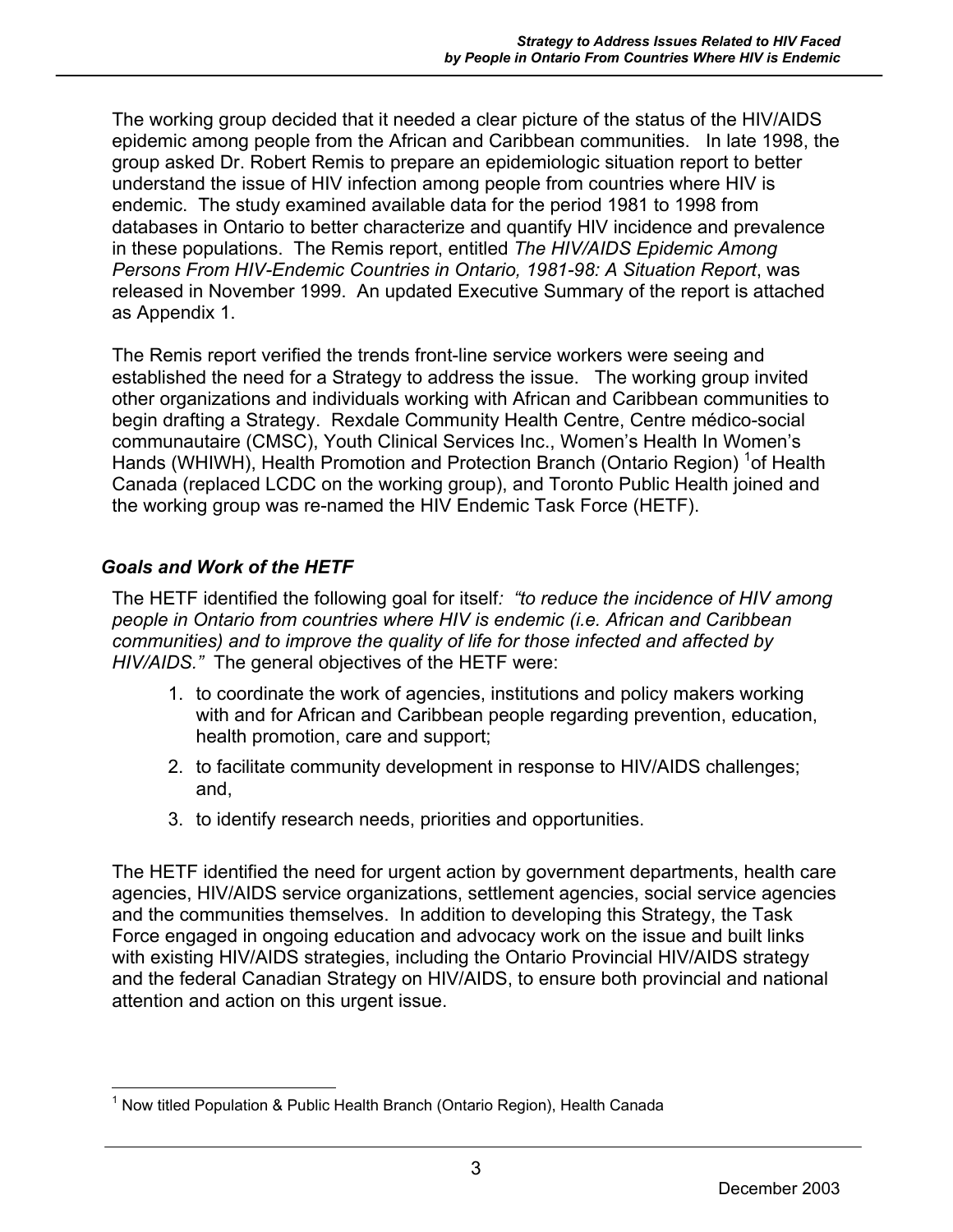The working group decided that it needed a clear picture of the status of the HIV/AIDS epidemic among people from the African and Caribbean communities. In late 1998, the group asked Dr. Robert Remis to prepare an epidemiologic situation report to better understand the issue of HIV infection among people from countries where HIV is endemic. The study examined available data for the period 1981 to 1998 from databases in Ontario to better characterize and quantify HIV incidence and prevalence in these populations. The Remis report, entitled *The HIV/AIDS Epidemic Among Persons From HIV-Endemic Countries in Ontario, 1981-98: A Situation Report*, was released in November 1999. An updated Executive Summary of the report is attached as Appendix 1.

The Remis report verified the trends front-line service workers were seeing and established the need for a Strategy to address the issue. The working group invited other organizations and individuals working with African and Caribbean communities to begin drafting a Strategy. Rexdale Community Health Centre, Centre médico-social communautaire (CMSC), Youth Clinical Services Inc., Women's Health In Women's Hands (WHIWH), Health Promotion and Protection Branch (Ontario Region) <sup>1</sup> of Health Canada (replaced LCDC on the working group), and Toronto Public Health joined and the working group was re-named the HIV Endemic Task Force (HETF).

#### *Goals and Work of the HETF*

The HETF identified the following goal for itself*: "to reduce the incidence of HIV among people in Ontario from countries where HIV is endemic (i.e. African and Caribbean communities) and to improve the quality of life for those infected and affected by HIV/AIDS."* The general objectives of the HETF were:

- 1. to coordinate the work of agencies, institutions and policy makers working with and for African and Caribbean people regarding prevention, education, health promotion, care and support;
- 2. to facilitate community development in response to HIV/AIDS challenges; and,
- 3. to identify research needs, priorities and opportunities.

The HETF identified the need for urgent action by government departments, health care agencies, HIV/AIDS service organizations, settlement agencies, social service agencies and the communities themselves. In addition to developing this Strategy, the Task Force engaged in ongoing education and advocacy work on the issue and built links with existing HIV/AIDS strategies, including the Ontario Provincial HIV/AIDS strategy and the federal Canadian Strategy on HIV/AIDS, to ensure both provincial and national attention and action on this urgent issue.

 $\overline{a}$ <sup>1</sup> Now titled Population & Public Health Branch (Ontario Region), Health Canada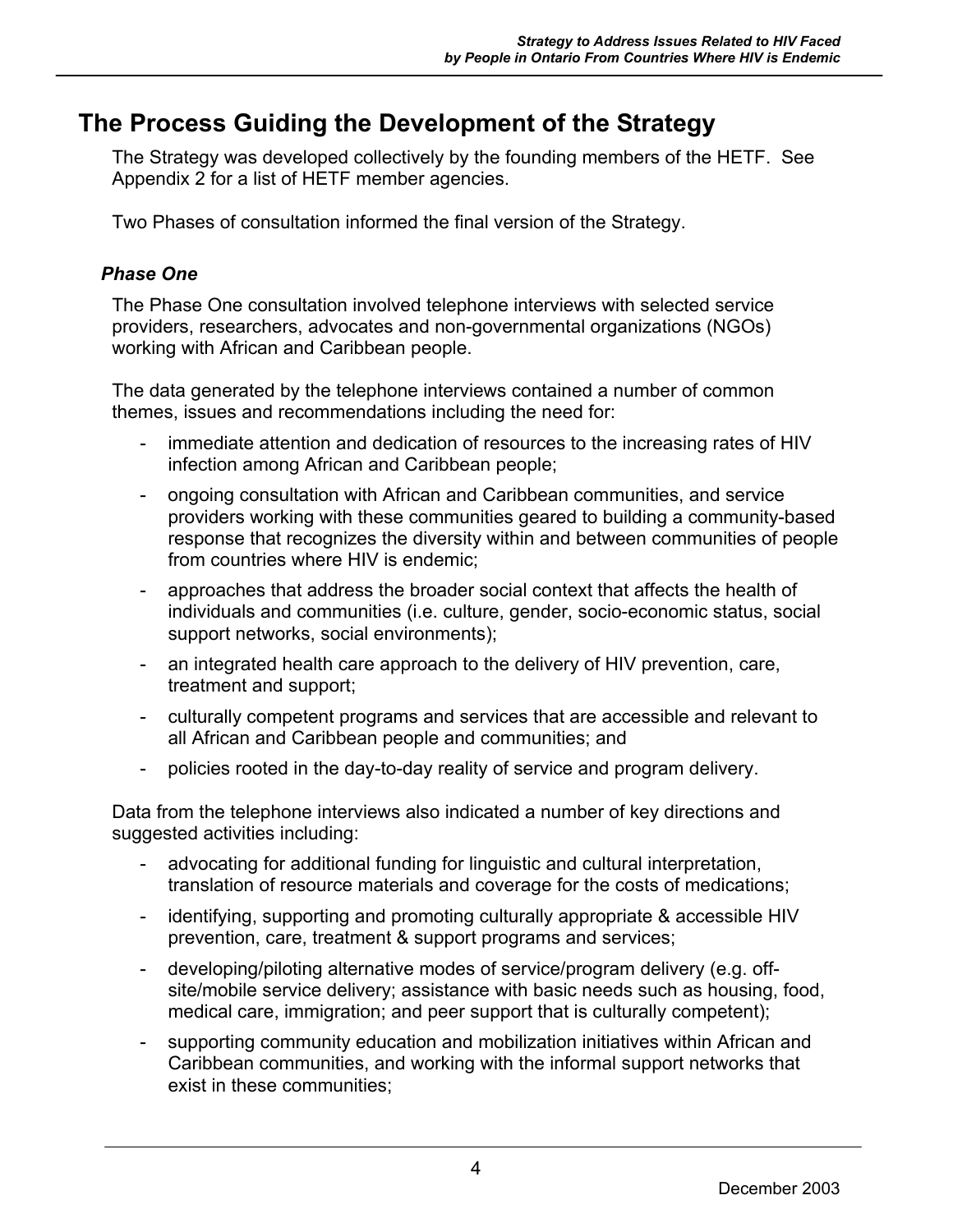## **The Process Guiding the Development of the Strategy**

The Strategy was developed collectively by the founding members of the HETF. See Appendix 2 for a list of HETF member agencies.

Two Phases of consultation informed the final version of the Strategy.

#### *Phase One*

The Phase One consultation involved telephone interviews with selected service providers, researchers, advocates and non-governmental organizations (NGOs) working with African and Caribbean people.

The data generated by the telephone interviews contained a number of common themes, issues and recommendations including the need for:

- immediate attention and dedication of resources to the increasing rates of HIV infection among African and Caribbean people;
- ongoing consultation with African and Caribbean communities, and service providers working with these communities geared to building a community-based response that recognizes the diversity within and between communities of people from countries where HIV is endemic;
- approaches that address the broader social context that affects the health of individuals and communities (i.e. culture, gender, socio-economic status, social support networks, social environments);
- an integrated health care approach to the delivery of HIV prevention, care, treatment and support;
- culturally competent programs and services that are accessible and relevant to all African and Caribbean people and communities; and
- policies rooted in the day-to-day reality of service and program delivery.

Data from the telephone interviews also indicated a number of key directions and suggested activities including:

- advocating for additional funding for linguistic and cultural interpretation, translation of resource materials and coverage for the costs of medications;
- identifying, supporting and promoting culturally appropriate & accessible HIV prevention, care, treatment & support programs and services;
- developing/piloting alternative modes of service/program delivery (e.g. offsite/mobile service delivery; assistance with basic needs such as housing, food, medical care, immigration; and peer support that is culturally competent);
- supporting community education and mobilization initiatives within African and Caribbean communities, and working with the informal support networks that exist in these communities;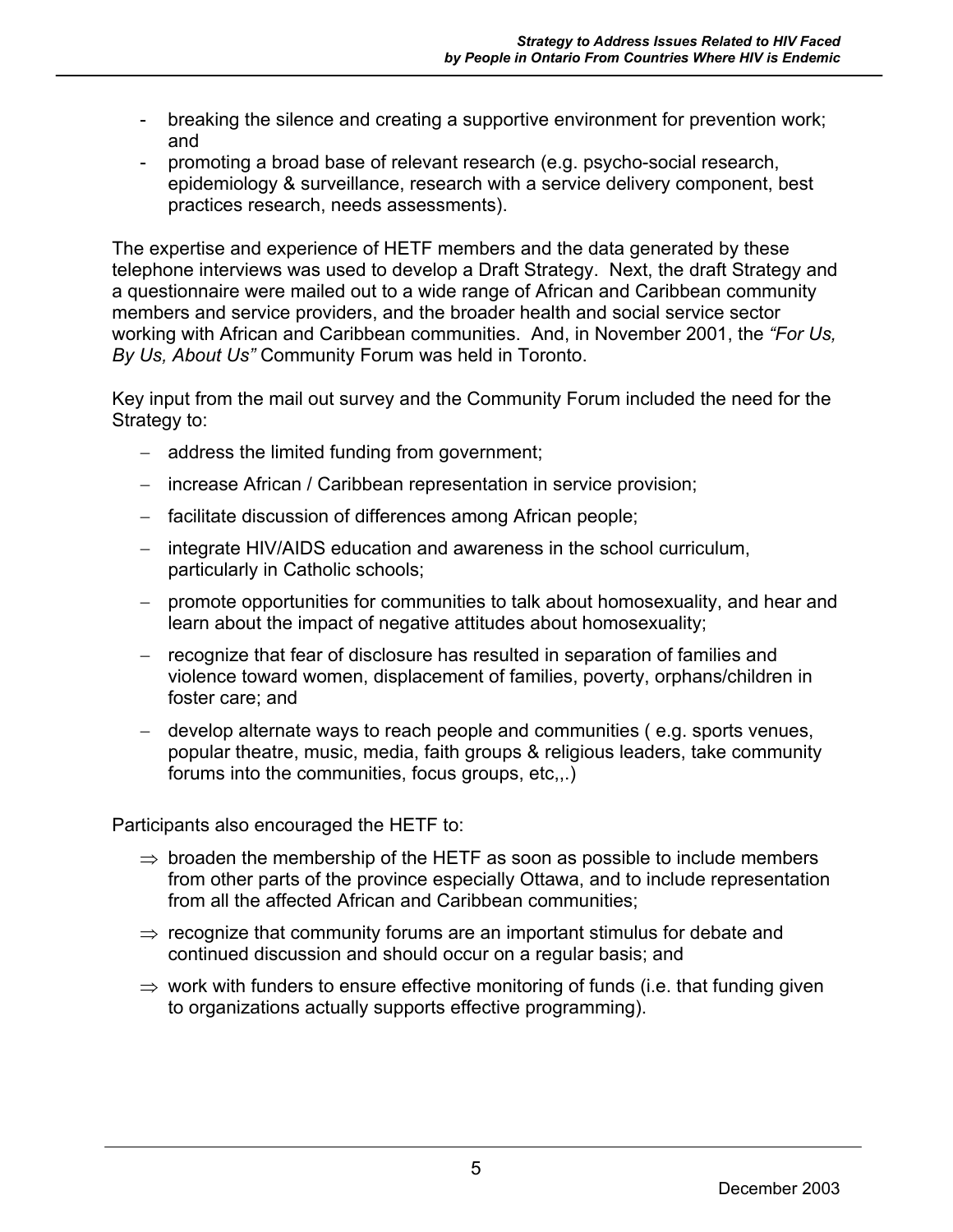- breaking the silence and creating a supportive environment for prevention work; and
- promoting a broad base of relevant research (e.g. psycho-social research, epidemiology & surveillance, research with a service delivery component, best practices research, needs assessments).

The expertise and experience of HETF members and the data generated by these telephone interviews was used to develop a Draft Strategy. Next, the draft Strategy and a questionnaire were mailed out to a wide range of African and Caribbean community members and service providers, and the broader health and social service sector working with African and Caribbean communities. And, in November 2001, the *"For Us, By Us, About Us"* Community Forum was held in Toronto.

Key input from the mail out survey and the Community Forum included the need for the Strategy to:

- − address the limited funding from government;
- − increase African / Caribbean representation in service provision;
- − facilitate discussion of differences among African people;
- − integrate HIV/AIDS education and awareness in the school curriculum, particularly in Catholic schools;
- − promote opportunities for communities to talk about homosexuality, and hear and learn about the impact of negative attitudes about homosexuality;
- − recognize that fear of disclosure has resulted in separation of families and violence toward women, displacement of families, poverty, orphans/children in foster care; and
- − develop alternate ways to reach people and communities ( e.g. sports venues, popular theatre, music, media, faith groups & religious leaders, take community forums into the communities, focus groups, etc,,.)

Participants also encouraged the HETF to:

- $\Rightarrow$  broaden the membership of the HETF as soon as possible to include members from other parts of the province especially Ottawa, and to include representation from all the affected African and Caribbean communities;
- ⇒ recognize that community forums are an important stimulus for debate and continued discussion and should occur on a regular basis; and
- $\Rightarrow$  work with funders to ensure effective monitoring of funds (i.e. that funding given to organizations actually supports effective programming).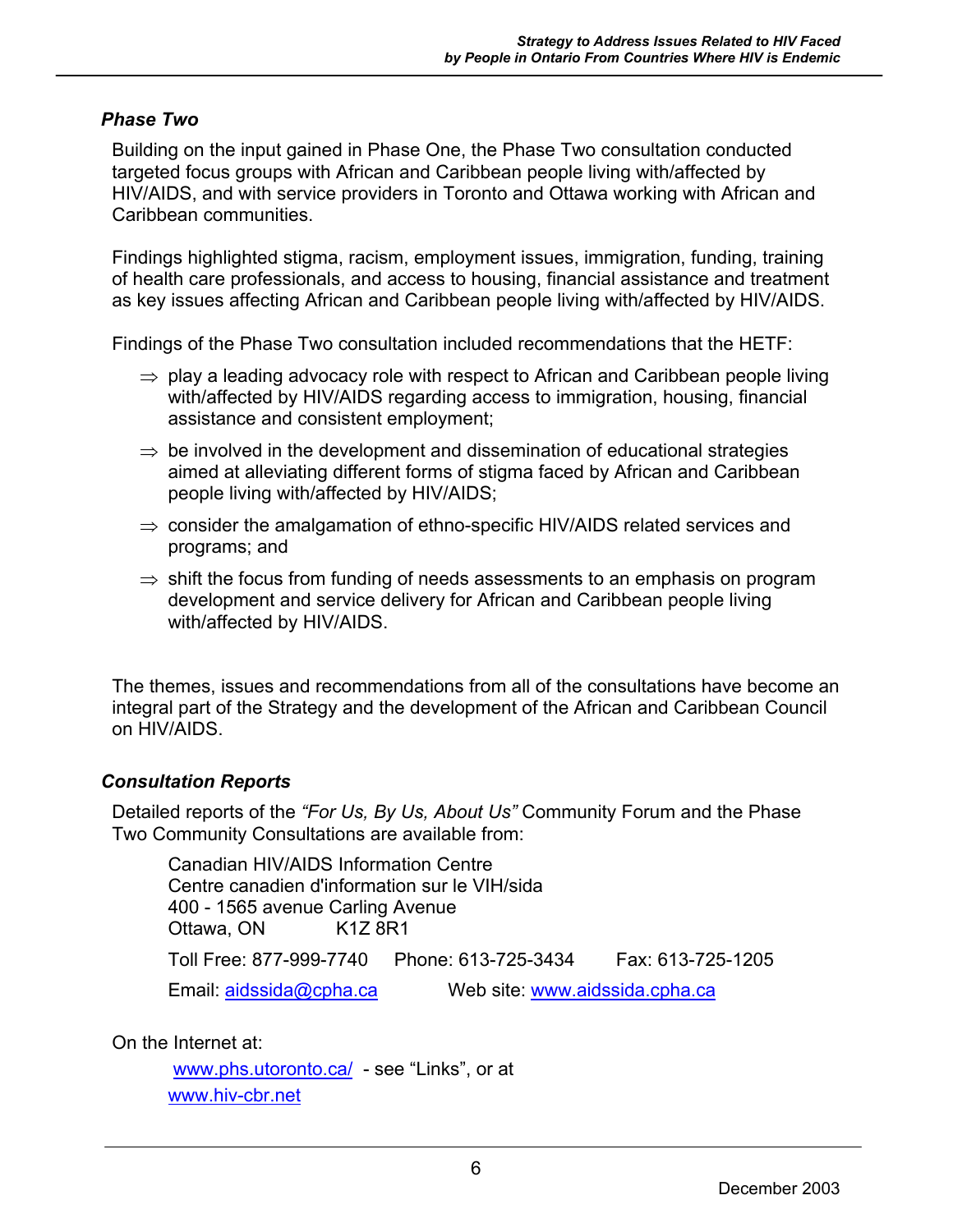#### *Phase Two*

Building on the input gained in Phase One, the Phase Two consultation conducted targeted focus groups with African and Caribbean people living with/affected by HIV/AIDS, and with service providers in Toronto and Ottawa working with African and Caribbean communities.

Findings highlighted stigma, racism, employment issues, immigration, funding, training of health care professionals, and access to housing, financial assistance and treatment as key issues affecting African and Caribbean people living with/affected by HIV/AIDS.

Findings of the Phase Two consultation included recommendations that the HETF:

- $\Rightarrow$  play a leading advocacy role with respect to African and Caribbean people living with/affected by HIV/AIDS regarding access to immigration, housing, financial assistance and consistent employment;
- $\Rightarrow$  be involved in the development and dissemination of educational strategies aimed at alleviating different forms of stigma faced by African and Caribbean people living with/affected by HIV/AIDS;
- $\Rightarrow$  consider the amalgamation of ethno-specific HIV/AIDS related services and programs; and
- $\Rightarrow$  shift the focus from funding of needs assessments to an emphasis on program development and service delivery for African and Caribbean people living with/affected by HIV/AIDS.

The themes, issues and recommendations from all of the consultations have become an integral part of the Strategy and the development of the African and Caribbean Council on HIV/AIDS.

#### *Consultation Reports*

Detailed reports of the *"For Us, By Us, About Us"* Community Forum and the Phase Two Community Consultations are available from:

Canadian HIV/AIDS Information Centre Centre canadien d'information sur le VIH/sida 400 - 1565 avenue Carling Avenue Ottawa, ON K1Z 8R1 Toll Free: 877-999-7740 Phone: 613-725-3434 Fax: 613-725-1205 Email: aidssida@cpha.ca Web site: www.aidssida.cpha.ca

On the Internet at:

www.phs.utoronto.ca/ - see "Links", or at www.hiv-cbr.net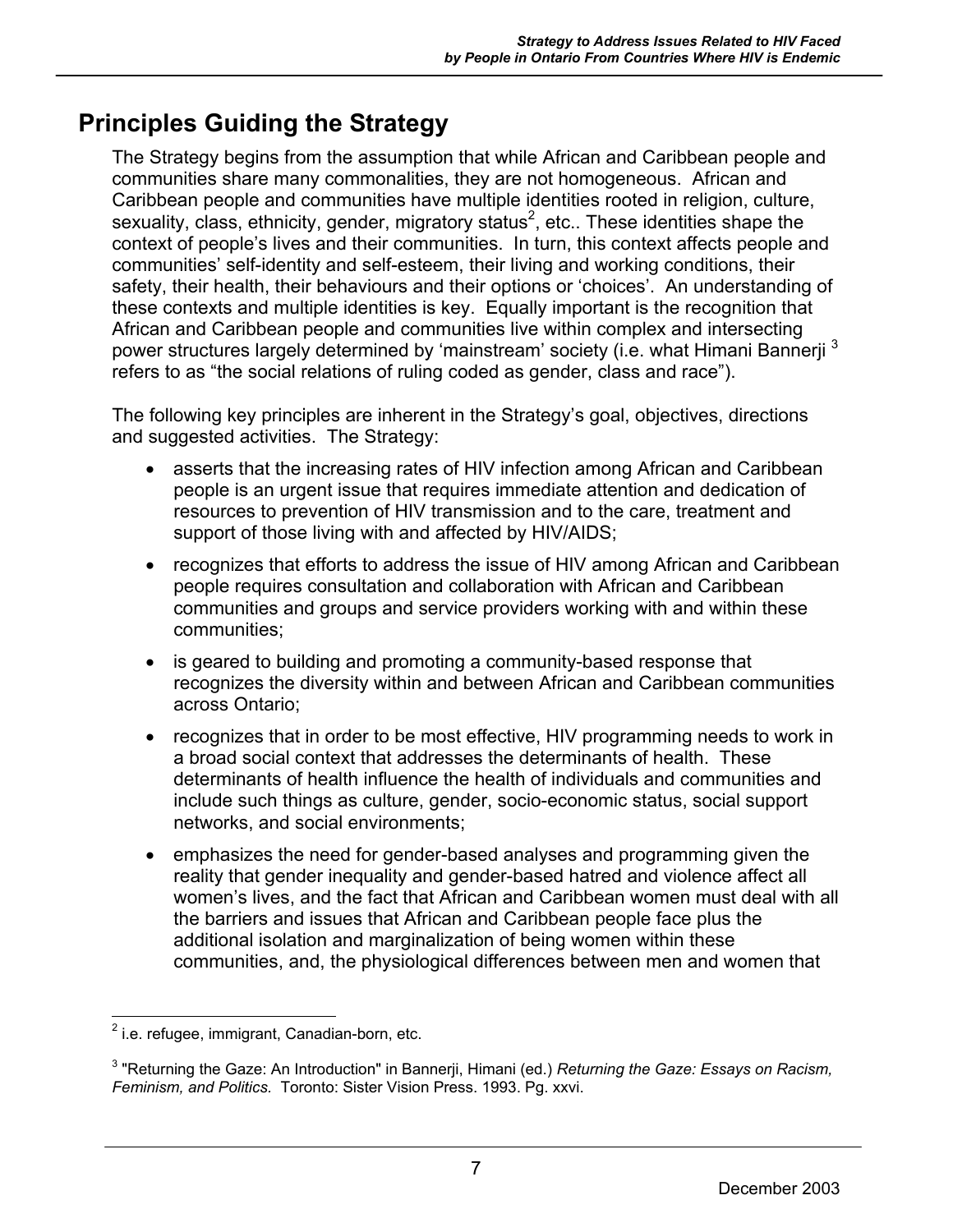## **Principles Guiding the Strategy**

The Strategy begins from the assumption that while African and Caribbean people and communities share many commonalities, they are not homogeneous. African and Caribbean people and communities have multiple identities rooted in religion, culture, sexuality, class, ethnicity, gender, migratory status<sup>2</sup>, etc.. These identities shape the context of people's lives and their communities. In turn, this context affects people and communities' self-identity and self-esteem, their living and working conditions, their safety, their health, their behaviours and their options or 'choices'. An understanding of these contexts and multiple identities is key. Equally important is the recognition that African and Caribbean people and communities live within complex and intersecting power structures largely determined by 'mainstream' society (i.e. what Himani Bannerji<sup>3</sup> refers to as "the social relations of ruling coded as gender, class and race").

The following key principles are inherent in the Strategy's goal, objectives, directions and suggested activities.The Strategy:

- asserts that the increasing rates of HIV infection among African and Caribbean people is an urgent issue that requires immediate attention and dedication of resources to prevention of HIV transmission and to the care, treatment and support of those living with and affected by HIV/AIDS;
- recognizes that efforts to address the issue of HIV among African and Caribbean people requires consultation and collaboration with African and Caribbean communities and groups and service providers working with and within these communities;
- is geared to building and promoting a community-based response that recognizes the diversity within and between African and Caribbean communities across Ontario;
- recognizes that in order to be most effective, HIV programming needs to work in a broad social context that addresses the determinants of health. These determinants of health influence the health of individuals and communities and include such things as culture, gender, socio-economic status, social support networks, and social environments;
- emphasizes the need for gender-based analyses and programming given the reality that gender inequality and gender-based hatred and violence affect all women's lives, and the fact that African and Caribbean women must deal with all the barriers and issues that African and Caribbean people face plus the additional isolation and marginalization of being women within these communities, and, the physiological differences between men and women that

<sup>1</sup>  $2$  i.e. refugee, immigrant, Canadian-born, etc.

<sup>3</sup> "Returning the Gaze: An Introduction" in Bannerji, Himani (ed.) *Returning the Gaze: Essays on Racism, Feminism, and Politics.* Toronto: Sister Vision Press. 1993. Pg. xxvi.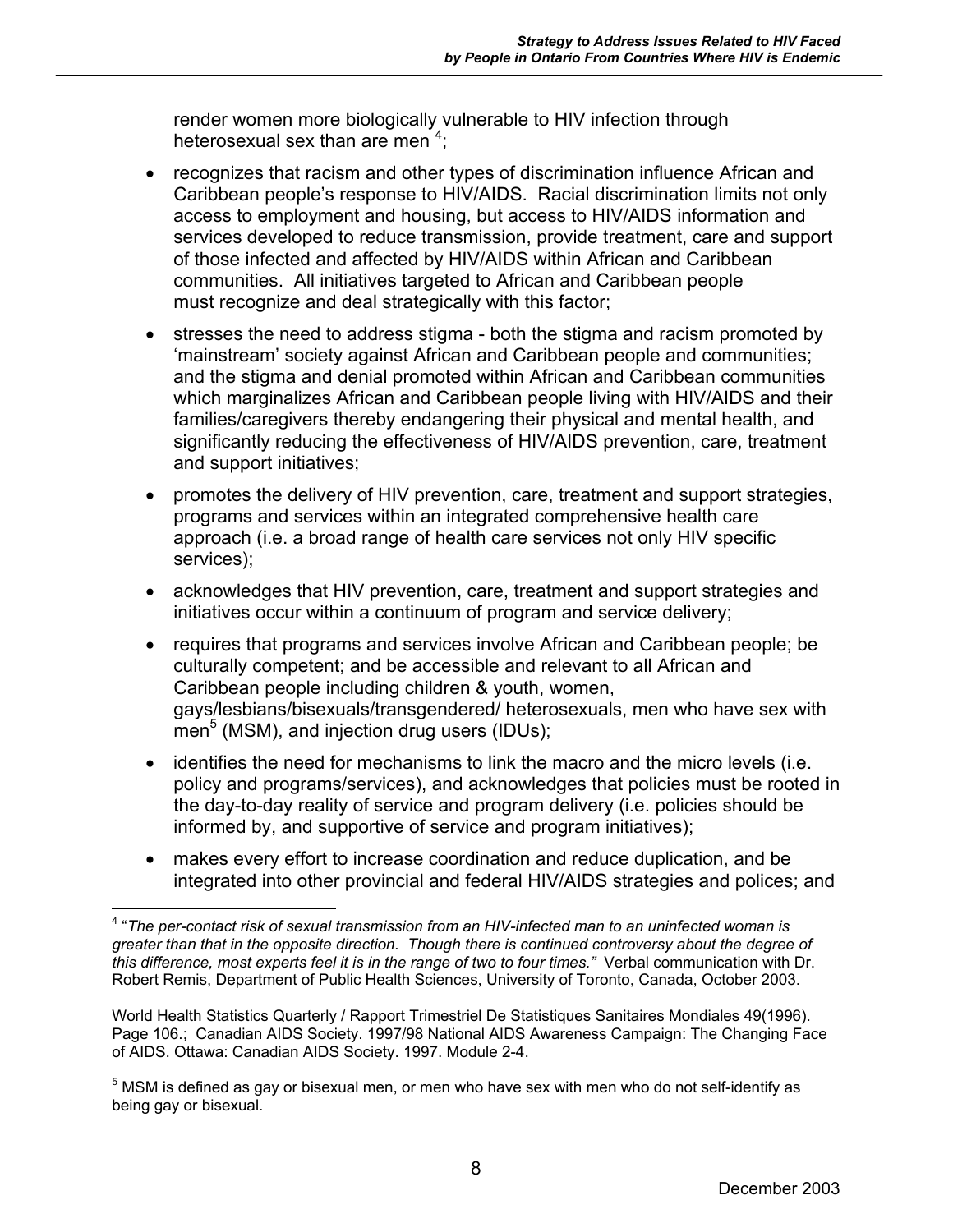render women more biologically vulnerable to HIV infection through heterosexual sex than are men<sup>4</sup>;

- recognizes that racism and other types of discrimination influence African and Caribbean people's response to HIV/AIDS. Racial discrimination limits not only access to employment and housing, but access to HIV/AIDS information and services developed to reduce transmission, provide treatment, care and support of those infected and affected by HIV/AIDS within African and Caribbean communities. All initiatives targeted to African and Caribbean people must recognize and deal strategically with this factor;
- stresses the need to address stigma both the stigma and racism promoted by 'mainstream' society against African and Caribbean people and communities; and the stigma and denial promoted within African and Caribbean communities which marginalizes African and Caribbean people living with HIV/AIDS and their families/caregivers thereby endangering their physical and mental health, and significantly reducing the effectiveness of HIV/AIDS prevention, care, treatment and support initiatives;
- promotes the delivery of HIV prevention, care, treatment and support strategies, programs and services within an integrated comprehensive health care approach (i.e. a broad range of health care services not only HIV specific services);
- acknowledges that HIV prevention, care, treatment and support strategies and initiatives occur within a continuum of program and service delivery;
- requires that programs and services involve African and Caribbean people; be culturally competent; and be accessible and relevant to all African and Caribbean people including children & youth, women, gays/lesbians/bisexuals/transgendered/ heterosexuals, men who have sex with  $\overline{m}$ en<sup>5</sup> (MSM), and injection drug users (IDUs);
- identifies the need for mechanisms to link the macro and the micro levels (i.e. policy and programs/services), and acknowledges that policies must be rooted in the day-to-day reality of service and program delivery (i.e. policies should be informed by, and supportive of service and program initiatives);
- makes every effort to increase coordination and reduce duplication, and be integrated into other provincial and federal HIV/AIDS strategies and polices; and

 $\overline{a}$ 4 "*The per-contact risk of sexual transmission from an HIV-infected man to an uninfected woman is greater than that in the opposite direction. Though there is continued controversy about the degree of this difference, most experts feel it is in the range of two to four times."* Verbal communication with Dr. Robert Remis, Department of Public Health Sciences, University of Toronto, Canada, October 2003.

World Health Statistics Quarterly / Rapport Trimestriel De Statistiques Sanitaires Mondiales 49(1996). Page 106.; Canadian AIDS Society. 1997/98 National AIDS Awareness Campaign: The Changing Face of AIDS. Ottawa: Canadian AIDS Society. 1997. Module 2-4.

 $5$  MSM is defined as gay or bisexual men, or men who have sex with men who do not self-identify as being gay or bisexual.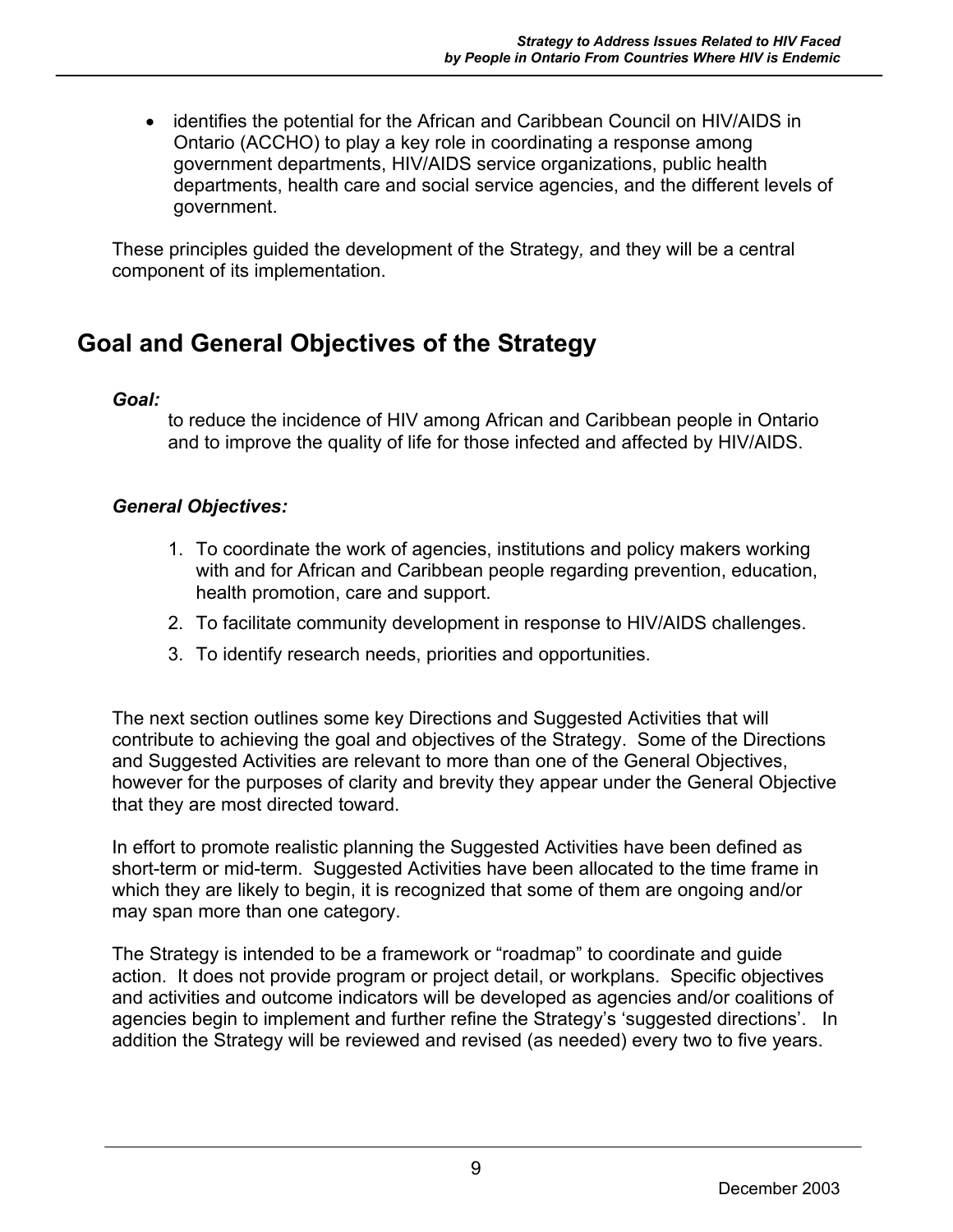• identifies the potential for the African and Caribbean Council on HIV/AIDS in Ontario (ACCHO) to play a key role in coordinating a response among government departments, HIV/AIDS service organizations, public health departments, health care and social service agencies, and the different levels of government.

These principles guided the development of the Strategy*,* and they will be a central component of its implementation.

## **Goal and General Objectives of the Strategy**

#### *Goal:*

to reduce the incidence of HIV among African and Caribbean people in Ontario and to improve the quality of life for those infected and affected by HIV/AIDS.

#### *General Objectives:*

- 1. To coordinate the work of agencies, institutions and policy makers working with and for African and Caribbean people regarding prevention, education, health promotion, care and support.
- 2. To facilitate community development in response to HIV/AIDS challenges.
- 3. To identify research needs, priorities and opportunities.

The next section outlines some key Directions and Suggested Activities that will contribute to achieving the goal and objectives of the Strategy. Some of the Directions and Suggested Activities are relevant to more than one of the General Objectives, however for the purposes of clarity and brevity they appear under the General Objective that they are most directed toward.

In effort to promote realistic planning the Suggested Activities have been defined as short-term or mid-term. Suggested Activities have been allocated to the time frame in which they are likely to begin, it is recognized that some of them are ongoing and/or may span more than one category.

The Strategy is intended to be a framework or "roadmap" to coordinate and guide action. It does not provide program or project detail, or workplans. Specific objectives and activities and outcome indicators will be developed as agencies and/or coalitions of agencies begin to implement and further refine the Strategy's 'suggested directions'. In addition the Strategy will be reviewed and revised (as needed) every two to five years.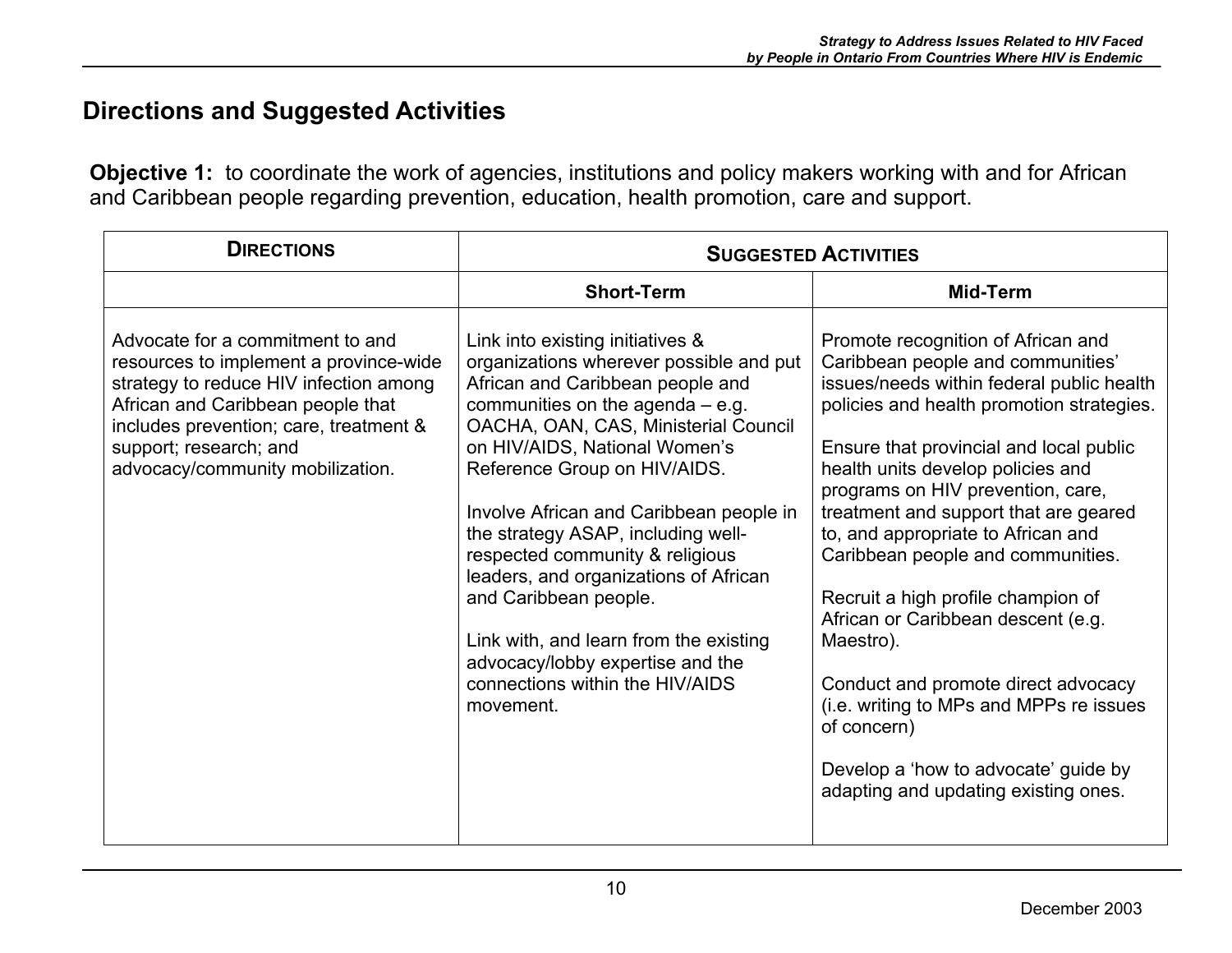## **Directions and Suggested Activities**

**Objective 1:** to coordinate the work of agencies, institutions and policy makers working with and for African and Caribbean people regarding prevention, education, health promotion, care and support.

| <b>DIRECTIONS</b>                                                                                                                                                                                                                                                 | <b>SUGGESTED ACTIVITIES</b>                                                                                                                                                                                                                                                                                                                                                                                                                                                                                                                                                        |                                                                                                                                                                                                                                                                                                                                                                                                                                                                                                                                                                                                                                                                                      |
|-------------------------------------------------------------------------------------------------------------------------------------------------------------------------------------------------------------------------------------------------------------------|------------------------------------------------------------------------------------------------------------------------------------------------------------------------------------------------------------------------------------------------------------------------------------------------------------------------------------------------------------------------------------------------------------------------------------------------------------------------------------------------------------------------------------------------------------------------------------|--------------------------------------------------------------------------------------------------------------------------------------------------------------------------------------------------------------------------------------------------------------------------------------------------------------------------------------------------------------------------------------------------------------------------------------------------------------------------------------------------------------------------------------------------------------------------------------------------------------------------------------------------------------------------------------|
|                                                                                                                                                                                                                                                                   | <b>Short-Term</b>                                                                                                                                                                                                                                                                                                                                                                                                                                                                                                                                                                  | Mid-Term                                                                                                                                                                                                                                                                                                                                                                                                                                                                                                                                                                                                                                                                             |
| Advocate for a commitment to and<br>resources to implement a province-wide<br>strategy to reduce HIV infection among<br>African and Caribbean people that<br>includes prevention; care, treatment &<br>support; research; and<br>advocacy/community mobilization. | Link into existing initiatives &<br>organizations wherever possible and put<br>African and Caribbean people and<br>communities on the agenda $-$ e.g.<br>OACHA, OAN, CAS, Ministerial Council<br>on HIV/AIDS, National Women's<br>Reference Group on HIV/AIDS.<br>Involve African and Caribbean people in<br>the strategy ASAP, including well-<br>respected community & religious<br>leaders, and organizations of African<br>and Caribbean people.<br>Link with, and learn from the existing<br>advocacy/lobby expertise and the<br>connections within the HIV/AIDS<br>movement. | Promote recognition of African and<br>Caribbean people and communities'<br>issues/needs within federal public health<br>policies and health promotion strategies.<br>Ensure that provincial and local public<br>health units develop policies and<br>programs on HIV prevention, care,<br>treatment and support that are geared<br>to, and appropriate to African and<br>Caribbean people and communities.<br>Recruit a high profile champion of<br>African or Caribbean descent (e.g.<br>Maestro).<br>Conduct and promote direct advocacy<br>(i.e. writing to MPs and MPPs re issues<br>of concern)<br>Develop a 'how to advocate' guide by<br>adapting and updating existing ones. |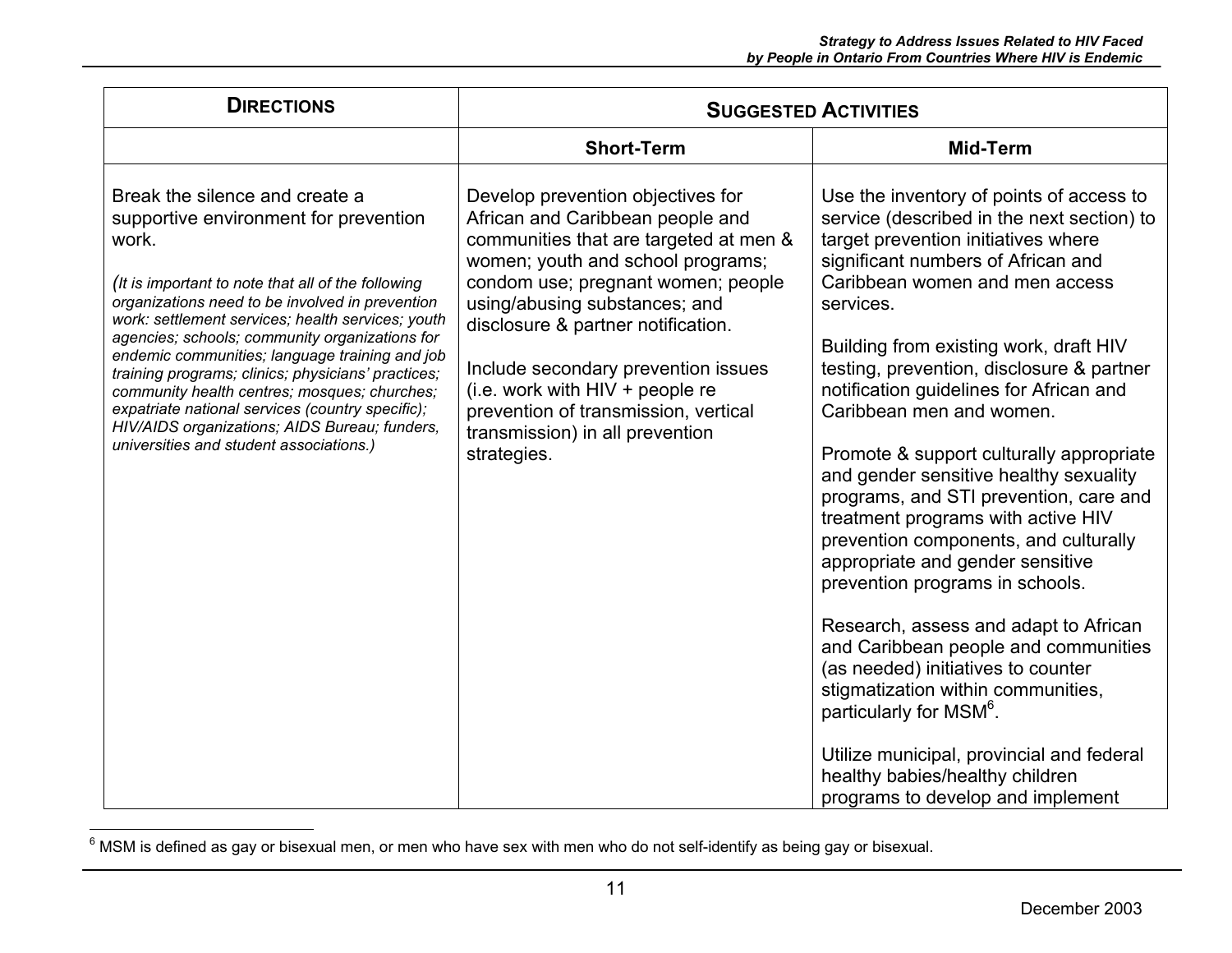| <b>DIRECTIONS</b>                                                                                                                                                                                                                                                                                                                                                                                                                                                                                                                                                                                        | <b>SUGGESTED ACTIVITIES</b>                                                                                                                                                                                                                                                                                                                                                                                                             |                                                                                                                                                                                                                                                                                                                                                                                                                                                                                                                                                                                                                                                                                                                                                                                                                                                                                                                                                                                    |
|----------------------------------------------------------------------------------------------------------------------------------------------------------------------------------------------------------------------------------------------------------------------------------------------------------------------------------------------------------------------------------------------------------------------------------------------------------------------------------------------------------------------------------------------------------------------------------------------------------|-----------------------------------------------------------------------------------------------------------------------------------------------------------------------------------------------------------------------------------------------------------------------------------------------------------------------------------------------------------------------------------------------------------------------------------------|------------------------------------------------------------------------------------------------------------------------------------------------------------------------------------------------------------------------------------------------------------------------------------------------------------------------------------------------------------------------------------------------------------------------------------------------------------------------------------------------------------------------------------------------------------------------------------------------------------------------------------------------------------------------------------------------------------------------------------------------------------------------------------------------------------------------------------------------------------------------------------------------------------------------------------------------------------------------------------|
|                                                                                                                                                                                                                                                                                                                                                                                                                                                                                                                                                                                                          | <b>Short-Term</b>                                                                                                                                                                                                                                                                                                                                                                                                                       | Mid-Term                                                                                                                                                                                                                                                                                                                                                                                                                                                                                                                                                                                                                                                                                                                                                                                                                                                                                                                                                                           |
| Break the silence and create a<br>supportive environment for prevention<br>work.<br>(It is important to note that all of the following<br>organizations need to be involved in prevention<br>work: settlement services; health services; youth<br>agencies; schools; community organizations for<br>endemic communities; language training and job<br>training programs; clinics; physicians' practices;<br>community health centres; mosques; churches;<br>expatriate national services (country specific);<br>HIV/AIDS organizations; AIDS Bureau; funders,<br>universities and student associations.) | Develop prevention objectives for<br>African and Caribbean people and<br>communities that are targeted at men &<br>women; youth and school programs;<br>condom use; pregnant women; people<br>using/abusing substances; and<br>disclosure & partner notification.<br>Include secondary prevention issues<br>(i.e. work with $HIV + people re$<br>prevention of transmission, vertical<br>transmission) in all prevention<br>strategies. | Use the inventory of points of access to<br>service (described in the next section) to<br>target prevention initiatives where<br>significant numbers of African and<br>Caribbean women and men access<br>services.<br>Building from existing work, draft HIV<br>testing, prevention, disclosure & partner<br>notification guidelines for African and<br>Caribbean men and women.<br>Promote & support culturally appropriate<br>and gender sensitive healthy sexuality<br>programs, and STI prevention, care and<br>treatment programs with active HIV<br>prevention components, and culturally<br>appropriate and gender sensitive<br>prevention programs in schools.<br>Research, assess and adapt to African<br>and Caribbean people and communities<br>(as needed) initiatives to counter<br>stigmatization within communities,<br>particularly for MSM°.<br>Utilize municipal, provincial and federal<br>healthy babies/healthy children<br>programs to develop and implement |

 $6$  MSM is defined as gay or bisexual men, or men who have sex with men who do not self-identify as being gay or bisexual.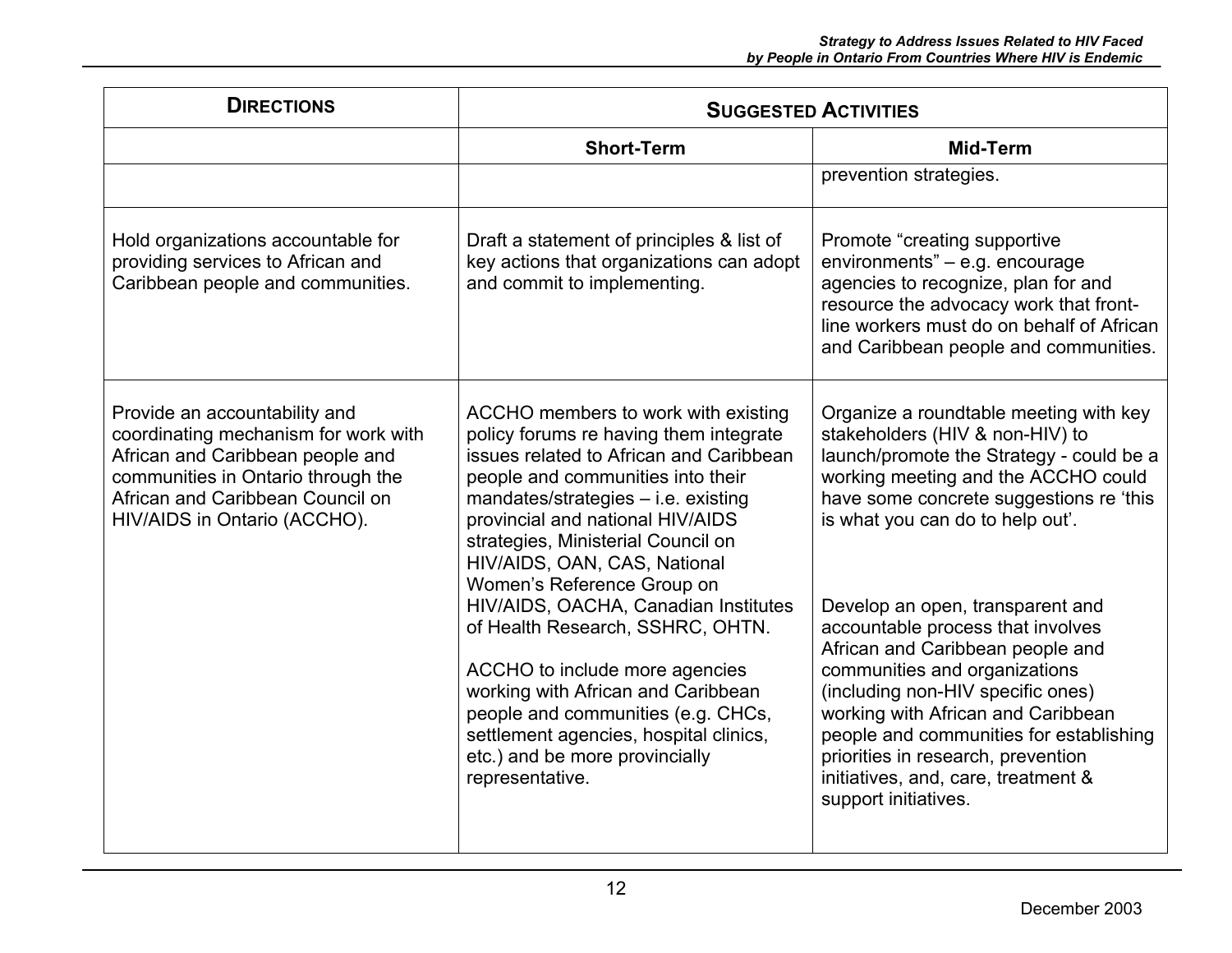| <b>DIRECTIONS</b>                                                                                                                                                                                                   | <b>SUGGESTED ACTIVITIES</b>                                                                                                                                                                                                                                                                                                                                                                                                                                                                                                                                                                                                             |                                                                                                                                                                                                                                                                                                                                                                                                                                                                                                                                                                                                                      |
|---------------------------------------------------------------------------------------------------------------------------------------------------------------------------------------------------------------------|-----------------------------------------------------------------------------------------------------------------------------------------------------------------------------------------------------------------------------------------------------------------------------------------------------------------------------------------------------------------------------------------------------------------------------------------------------------------------------------------------------------------------------------------------------------------------------------------------------------------------------------------|----------------------------------------------------------------------------------------------------------------------------------------------------------------------------------------------------------------------------------------------------------------------------------------------------------------------------------------------------------------------------------------------------------------------------------------------------------------------------------------------------------------------------------------------------------------------------------------------------------------------|
|                                                                                                                                                                                                                     | <b>Short-Term</b>                                                                                                                                                                                                                                                                                                                                                                                                                                                                                                                                                                                                                       | <b>Mid-Term</b>                                                                                                                                                                                                                                                                                                                                                                                                                                                                                                                                                                                                      |
|                                                                                                                                                                                                                     |                                                                                                                                                                                                                                                                                                                                                                                                                                                                                                                                                                                                                                         | prevention strategies.                                                                                                                                                                                                                                                                                                                                                                                                                                                                                                                                                                                               |
| Hold organizations accountable for<br>providing services to African and<br>Caribbean people and communities.                                                                                                        | Draft a statement of principles & list of<br>key actions that organizations can adopt<br>and commit to implementing.                                                                                                                                                                                                                                                                                                                                                                                                                                                                                                                    | Promote "creating supportive<br>environments" - e.g. encourage<br>agencies to recognize, plan for and<br>resource the advocacy work that front-<br>line workers must do on behalf of African<br>and Caribbean people and communities.                                                                                                                                                                                                                                                                                                                                                                                |
| Provide an accountability and<br>coordinating mechanism for work with<br>African and Caribbean people and<br>communities in Ontario through the<br>African and Caribbean Council on<br>HIV/AIDS in Ontario (ACCHO). | ACCHO members to work with existing<br>policy forums re having them integrate<br>issues related to African and Caribbean<br>people and communities into their<br>$mandates/strategies - i.e. existing$<br>provincial and national HIV/AIDS<br>strategies, Ministerial Council on<br>HIV/AIDS, OAN, CAS, National<br>Women's Reference Group on<br>HIV/AIDS, OACHA, Canadian Institutes<br>of Health Research, SSHRC, OHTN.<br>ACCHO to include more agencies<br>working with African and Caribbean<br>people and communities (e.g. CHCs,<br>settlement agencies, hospital clinics,<br>etc.) and be more provincially<br>representative. | Organize a roundtable meeting with key<br>stakeholders (HIV & non-HIV) to<br>launch/promote the Strategy - could be a<br>working meeting and the ACCHO could<br>have some concrete suggestions re 'this<br>is what you can do to help out'.<br>Develop an open, transparent and<br>accountable process that involves<br>African and Caribbean people and<br>communities and organizations<br>(including non-HIV specific ones)<br>working with African and Caribbean<br>people and communities for establishing<br>priorities in research, prevention<br>initiatives, and, care, treatment &<br>support initiatives. |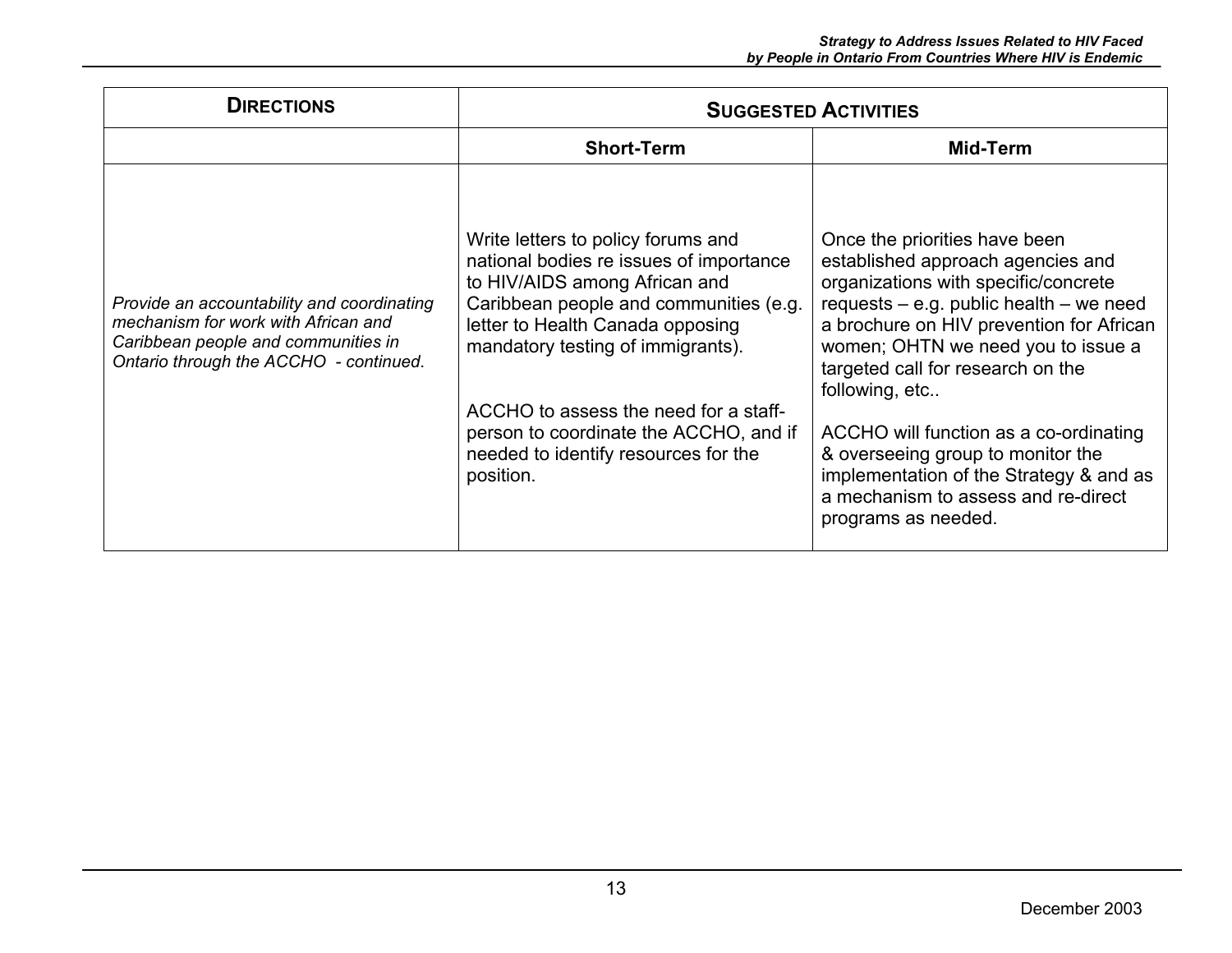| <b>DIRECTIONS</b>                                                                                                                                                  | <b>SUGGESTED ACTIVITIES</b>                                                                                                                                                                                                                                                                                                                                               |                                                                                                                                                                                                                                                                                                                                                                                                                                                                                            |
|--------------------------------------------------------------------------------------------------------------------------------------------------------------------|---------------------------------------------------------------------------------------------------------------------------------------------------------------------------------------------------------------------------------------------------------------------------------------------------------------------------------------------------------------------------|--------------------------------------------------------------------------------------------------------------------------------------------------------------------------------------------------------------------------------------------------------------------------------------------------------------------------------------------------------------------------------------------------------------------------------------------------------------------------------------------|
|                                                                                                                                                                    | <b>Short-Term</b>                                                                                                                                                                                                                                                                                                                                                         | Mid-Term                                                                                                                                                                                                                                                                                                                                                                                                                                                                                   |
| Provide an accountability and coordinating<br>mechanism for work with African and<br>Caribbean people and communities in<br>Ontario through the ACCHO - continued. | Write letters to policy forums and<br>national bodies re issues of importance<br>to HIV/AIDS among African and<br>Caribbean people and communities (e.g.<br>letter to Health Canada opposing<br>mandatory testing of immigrants).<br>ACCHO to assess the need for a staff-<br>person to coordinate the ACCHO, and if<br>needed to identify resources for the<br>position. | Once the priorities have been<br>established approach agencies and<br>organizations with specific/concrete<br>requests $-$ e.g. public health $-$ we need<br>a brochure on HIV prevention for African<br>women; OHTN we need you to issue a<br>targeted call for research on the<br>following, etc<br>ACCHO will function as a co-ordinating<br>& overseeing group to monitor the<br>implementation of the Strategy & and as<br>a mechanism to assess and re-direct<br>programs as needed. |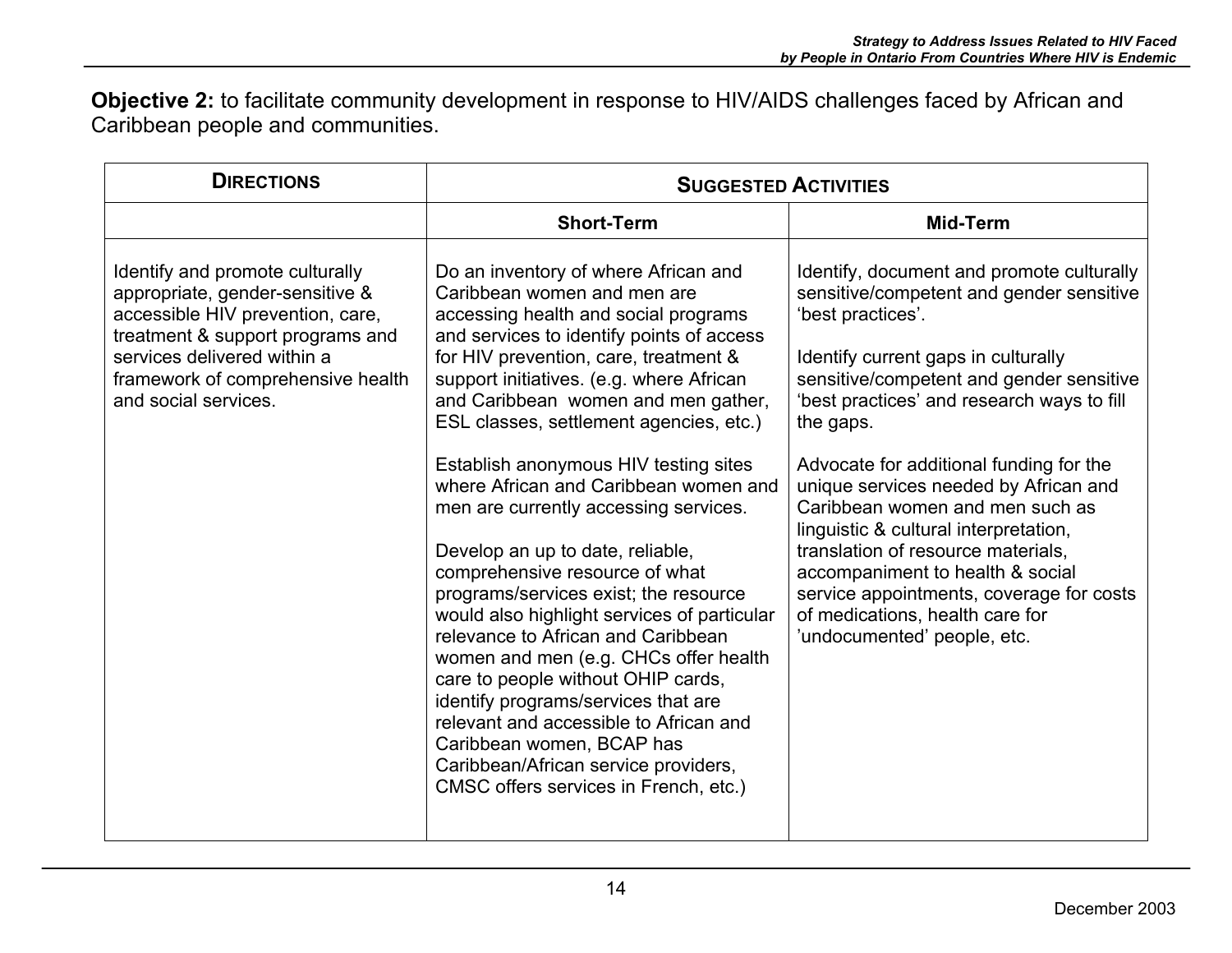**Objective 2:** to facilitate community development in response to HIV/AIDS challenges faced by African and Caribbean people and communities.

| <b>DIRECTIONS</b>                                                                                                                                                                                                                      | <b>SUGGESTED ACTIVITIES</b>                                                                                                                                                                                                                                                                                                                                                                                                                                                                                                                                                                                                                                                                                                                                                                                                                                                                                                                  |                                                                                                                                                                                                                                                                                                                                                                                                                                                                                                                                                                                                                  |
|----------------------------------------------------------------------------------------------------------------------------------------------------------------------------------------------------------------------------------------|----------------------------------------------------------------------------------------------------------------------------------------------------------------------------------------------------------------------------------------------------------------------------------------------------------------------------------------------------------------------------------------------------------------------------------------------------------------------------------------------------------------------------------------------------------------------------------------------------------------------------------------------------------------------------------------------------------------------------------------------------------------------------------------------------------------------------------------------------------------------------------------------------------------------------------------------|------------------------------------------------------------------------------------------------------------------------------------------------------------------------------------------------------------------------------------------------------------------------------------------------------------------------------------------------------------------------------------------------------------------------------------------------------------------------------------------------------------------------------------------------------------------------------------------------------------------|
|                                                                                                                                                                                                                                        | <b>Short-Term</b>                                                                                                                                                                                                                                                                                                                                                                                                                                                                                                                                                                                                                                                                                                                                                                                                                                                                                                                            | Mid-Term                                                                                                                                                                                                                                                                                                                                                                                                                                                                                                                                                                                                         |
| Identify and promote culturally<br>appropriate, gender-sensitive &<br>accessible HIV prevention, care,<br>treatment & support programs and<br>services delivered within a<br>framework of comprehensive health<br>and social services. | Do an inventory of where African and<br>Caribbean women and men are<br>accessing health and social programs<br>and services to identify points of access<br>for HIV prevention, care, treatment &<br>support initiatives. (e.g. where African<br>and Caribbean women and men gather,<br>ESL classes, settlement agencies, etc.)<br>Establish anonymous HIV testing sites<br>where African and Caribbean women and<br>men are currently accessing services.<br>Develop an up to date, reliable,<br>comprehensive resource of what<br>programs/services exist; the resource<br>would also highlight services of particular<br>relevance to African and Caribbean<br>women and men (e.g. CHCs offer health<br>care to people without OHIP cards,<br>identify programs/services that are<br>relevant and accessible to African and<br>Caribbean women, BCAP has<br>Caribbean/African service providers,<br>CMSC offers services in French, etc.) | Identify, document and promote culturally<br>sensitive/competent and gender sensitive<br>'best practices'.<br>Identify current gaps in culturally<br>sensitive/competent and gender sensitive<br>'best practices' and research ways to fill<br>the gaps.<br>Advocate for additional funding for the<br>unique services needed by African and<br>Caribbean women and men such as<br>linguistic & cultural interpretation,<br>translation of resource materials,<br>accompaniment to health & social<br>service appointments, coverage for costs<br>of medications, health care for<br>'undocumented' people, etc. |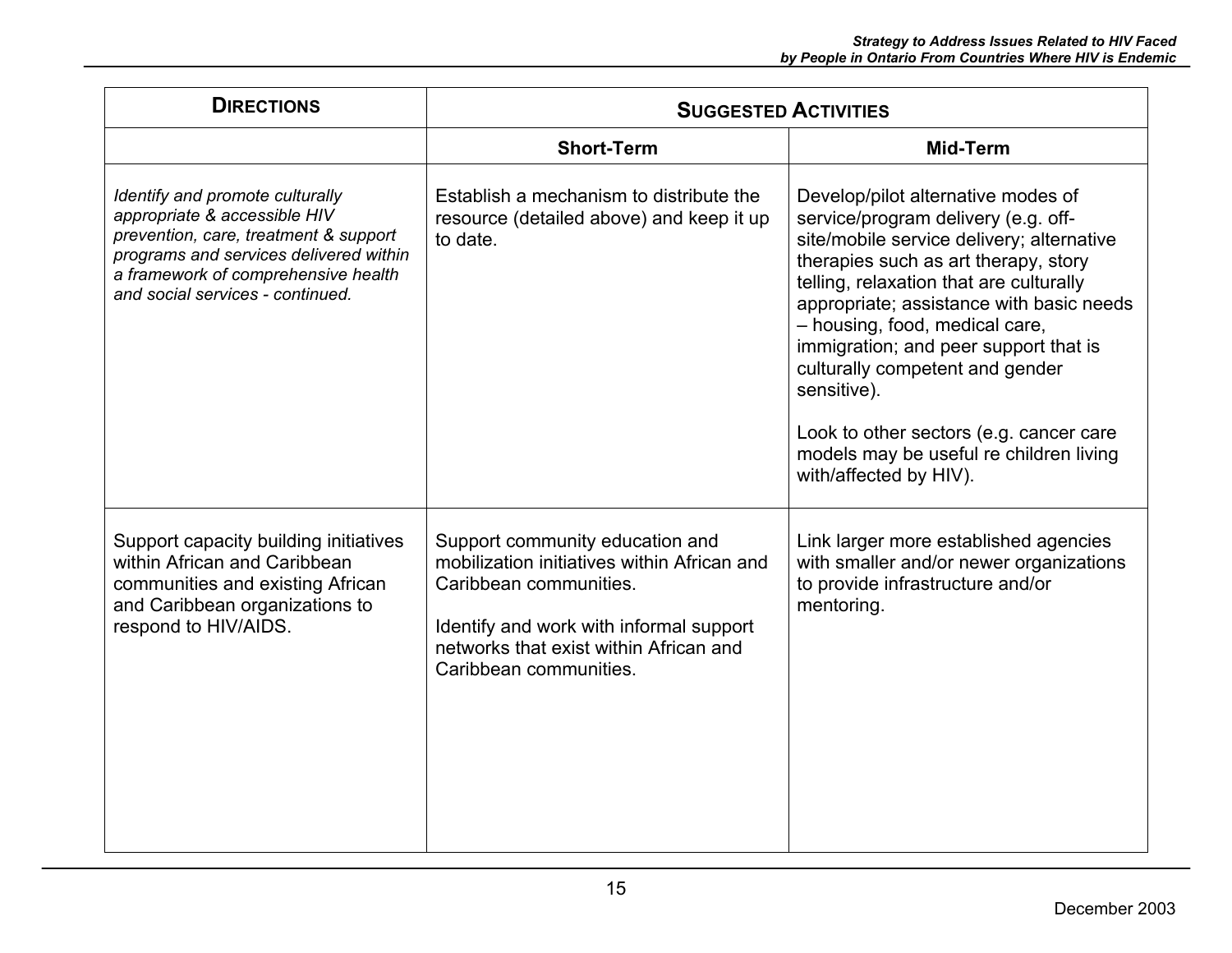| <b>DIRECTIONS</b>                                                                                                                                                                                                             | <b>SUGGESTED ACTIVITIES</b>                                                                                                                                                                                             |                                                                                                                                                                                                                                                                                                                                                                                                                                                                                                    |
|-------------------------------------------------------------------------------------------------------------------------------------------------------------------------------------------------------------------------------|-------------------------------------------------------------------------------------------------------------------------------------------------------------------------------------------------------------------------|----------------------------------------------------------------------------------------------------------------------------------------------------------------------------------------------------------------------------------------------------------------------------------------------------------------------------------------------------------------------------------------------------------------------------------------------------------------------------------------------------|
|                                                                                                                                                                                                                               | <b>Short-Term</b>                                                                                                                                                                                                       | Mid-Term                                                                                                                                                                                                                                                                                                                                                                                                                                                                                           |
| Identify and promote culturally<br>appropriate & accessible HIV<br>prevention, care, treatment & support<br>programs and services delivered within<br>a framework of comprehensive health<br>and social services - continued. | Establish a mechanism to distribute the<br>resource (detailed above) and keep it up<br>to date.                                                                                                                         | Develop/pilot alternative modes of<br>service/program delivery (e.g. off-<br>site/mobile service delivery; alternative<br>therapies such as art therapy, story<br>telling, relaxation that are culturally<br>appropriate; assistance with basic needs<br>- housing, food, medical care,<br>immigration; and peer support that is<br>culturally competent and gender<br>sensitive).<br>Look to other sectors (e.g. cancer care<br>models may be useful re children living<br>with/affected by HIV). |
| Support capacity building initiatives<br>within African and Caribbean<br>communities and existing African<br>and Caribbean organizations to<br>respond to HIV/AIDS.                                                           | Support community education and<br>mobilization initiatives within African and<br>Caribbean communities.<br>Identify and work with informal support<br>networks that exist within African and<br>Caribbean communities. | Link larger more established agencies<br>with smaller and/or newer organizations<br>to provide infrastructure and/or<br>mentoring.                                                                                                                                                                                                                                                                                                                                                                 |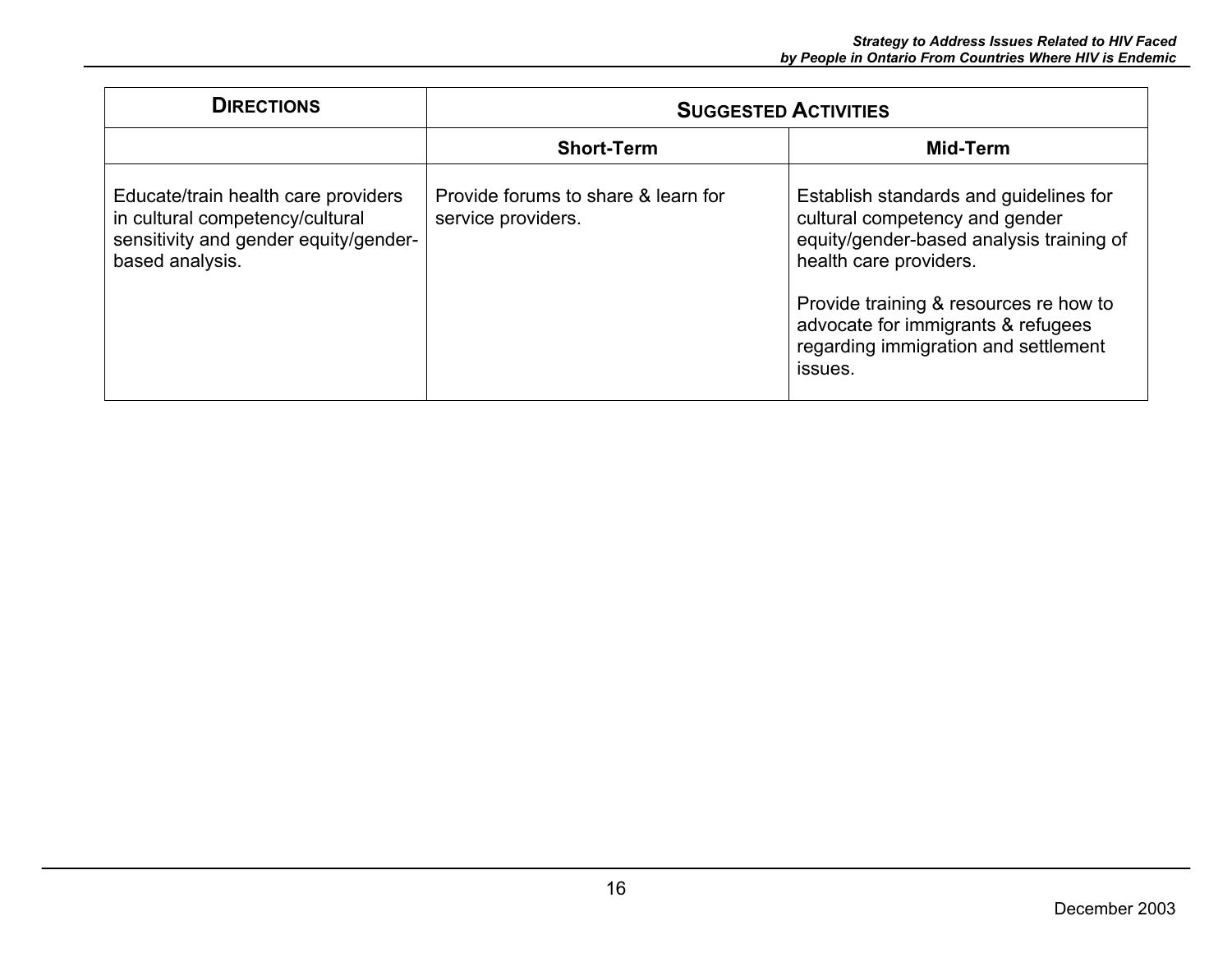| <b>DIRECTIONS</b>                                                                                                                  | <b>SUGGESTED ACTIVITIES</b>                               |                                                                                                                                                                                                                                                                                   |
|------------------------------------------------------------------------------------------------------------------------------------|-----------------------------------------------------------|-----------------------------------------------------------------------------------------------------------------------------------------------------------------------------------------------------------------------------------------------------------------------------------|
|                                                                                                                                    | <b>Short-Term</b>                                         | Mid-Term                                                                                                                                                                                                                                                                          |
| Educate/train health care providers<br>in cultural competency/cultural<br>sensitivity and gender equity/gender-<br>based analysis. | Provide forums to share & learn for<br>service providers. | Establish standards and guidelines for<br>cultural competency and gender<br>equity/gender-based analysis training of<br>health care providers.<br>Provide training & resources re how to<br>advocate for immigrants & refugees<br>regarding immigration and settlement<br>issues. |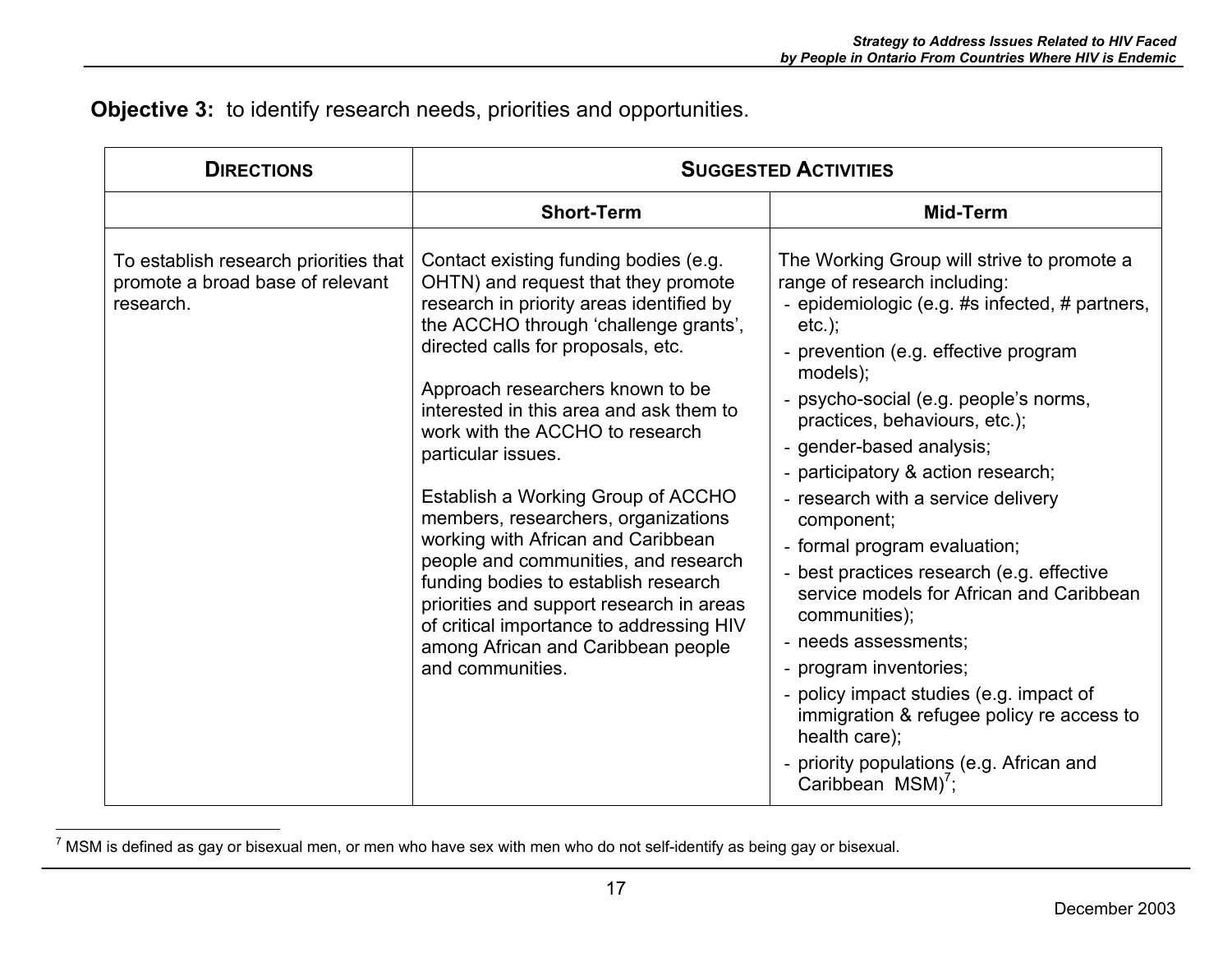**Objective 3:** to identify research needs, priorities and opportunities.

| <b>DIRECTIONS</b>                                                                      | <b>SUGGESTED ACTIVITIES</b>                                                                                                                                                                                                                                                                                                                                                                                                                                                                                                                                                                                                                                                                          |                                                                                                                                                                                                                                                                                                                                                                                                                                                                                                                                                                                                                                                                                                                                                                       |
|----------------------------------------------------------------------------------------|------------------------------------------------------------------------------------------------------------------------------------------------------------------------------------------------------------------------------------------------------------------------------------------------------------------------------------------------------------------------------------------------------------------------------------------------------------------------------------------------------------------------------------------------------------------------------------------------------------------------------------------------------------------------------------------------------|-----------------------------------------------------------------------------------------------------------------------------------------------------------------------------------------------------------------------------------------------------------------------------------------------------------------------------------------------------------------------------------------------------------------------------------------------------------------------------------------------------------------------------------------------------------------------------------------------------------------------------------------------------------------------------------------------------------------------------------------------------------------------|
|                                                                                        | <b>Short-Term</b>                                                                                                                                                                                                                                                                                                                                                                                                                                                                                                                                                                                                                                                                                    | Mid-Term                                                                                                                                                                                                                                                                                                                                                                                                                                                                                                                                                                                                                                                                                                                                                              |
| To establish research priorities that<br>promote a broad base of relevant<br>research. | Contact existing funding bodies (e.g.<br>OHTN) and request that they promote<br>research in priority areas identified by<br>the ACCHO through 'challenge grants',<br>directed calls for proposals, etc.<br>Approach researchers known to be<br>interested in this area and ask them to<br>work with the ACCHO to research<br>particular issues.<br>Establish a Working Group of ACCHO<br>members, researchers, organizations<br>working with African and Caribbean<br>people and communities, and research<br>funding bodies to establish research<br>priorities and support research in areas<br>of critical importance to addressing HIV<br>among African and Caribbean people<br>and communities. | The Working Group will strive to promote a<br>range of research including:<br>- epidemiologic (e.g. #s infected, # partners,<br>$etc.$ );<br>- prevention (e.g. effective program<br>$models$ );<br>- psycho-social (e.g. people's norms,<br>practices, behaviours, etc.);<br>- gender-based analysis;<br>- participatory & action research;<br>- research with a service delivery<br>component;<br>- formal program evaluation;<br>- best practices research (e.g. effective<br>service models for African and Caribbean<br>communities);<br>- needs assessments;<br>- program inventories;<br>- policy impact studies (e.g. impact of<br>immigration & refugee policy re access to<br>health care);<br>- priority populations (e.g. African and<br>Caribbean MSM)'; |

 $7$  MSM is defined as gay or bisexual men, or men who have sex with men who do not self-identify as being gay or bisexual.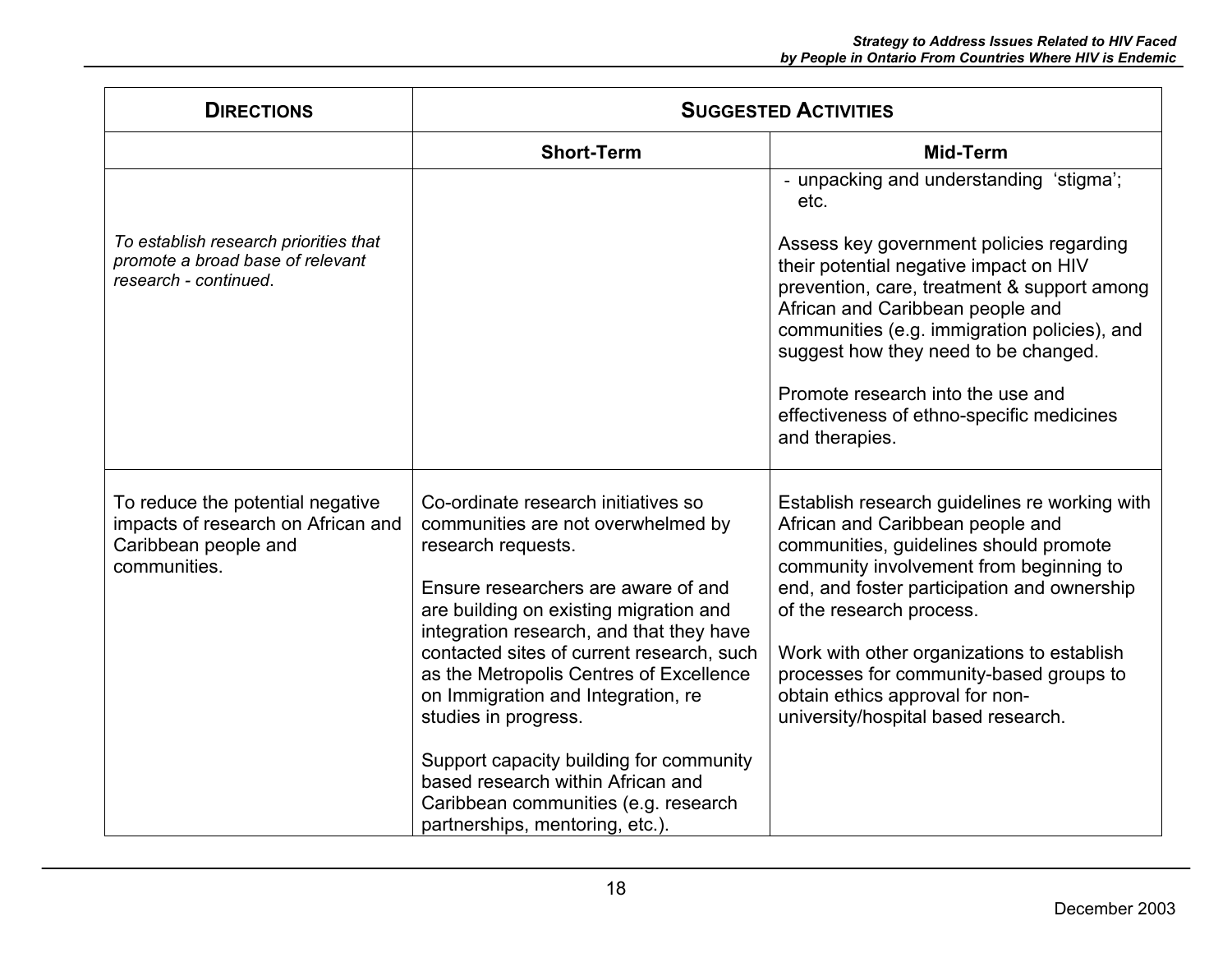| <b>DIRECTIONS</b>                                                                                              | <b>SUGGESTED ACTIVITIES</b>                                                                                                                                                                                                                                                                                                                                                                                                                                                                                                                   |                                                                                                                                                                                                                                                                                                                                                                                                                      |
|----------------------------------------------------------------------------------------------------------------|-----------------------------------------------------------------------------------------------------------------------------------------------------------------------------------------------------------------------------------------------------------------------------------------------------------------------------------------------------------------------------------------------------------------------------------------------------------------------------------------------------------------------------------------------|----------------------------------------------------------------------------------------------------------------------------------------------------------------------------------------------------------------------------------------------------------------------------------------------------------------------------------------------------------------------------------------------------------------------|
|                                                                                                                | <b>Short-Term</b>                                                                                                                                                                                                                                                                                                                                                                                                                                                                                                                             | <b>Mid-Term</b>                                                                                                                                                                                                                                                                                                                                                                                                      |
|                                                                                                                |                                                                                                                                                                                                                                                                                                                                                                                                                                                                                                                                               | - unpacking and understanding 'stigma';<br>etc.                                                                                                                                                                                                                                                                                                                                                                      |
| To establish research priorities that<br>promote a broad base of relevant<br>research - continued.             |                                                                                                                                                                                                                                                                                                                                                                                                                                                                                                                                               | Assess key government policies regarding<br>their potential negative impact on HIV<br>prevention, care, treatment & support among<br>African and Caribbean people and<br>communities (e.g. immigration policies), and<br>suggest how they need to be changed.<br>Promote research into the use and<br>effectiveness of ethno-specific medicines<br>and therapies.                                                    |
| To reduce the potential negative<br>impacts of research on African and<br>Caribbean people and<br>communities. | Co-ordinate research initiatives so<br>communities are not overwhelmed by<br>research requests.<br>Ensure researchers are aware of and<br>are building on existing migration and<br>integration research, and that they have<br>contacted sites of current research, such<br>as the Metropolis Centres of Excellence<br>on Immigration and Integration, re<br>studies in progress.<br>Support capacity building for community<br>based research within African and<br>Caribbean communities (e.g. research<br>partnerships, mentoring, etc.). | Establish research guidelines re working with<br>African and Caribbean people and<br>communities, guidelines should promote<br>community involvement from beginning to<br>end, and foster participation and ownership<br>of the research process.<br>Work with other organizations to establish<br>processes for community-based groups to<br>obtain ethics approval for non-<br>university/hospital based research. |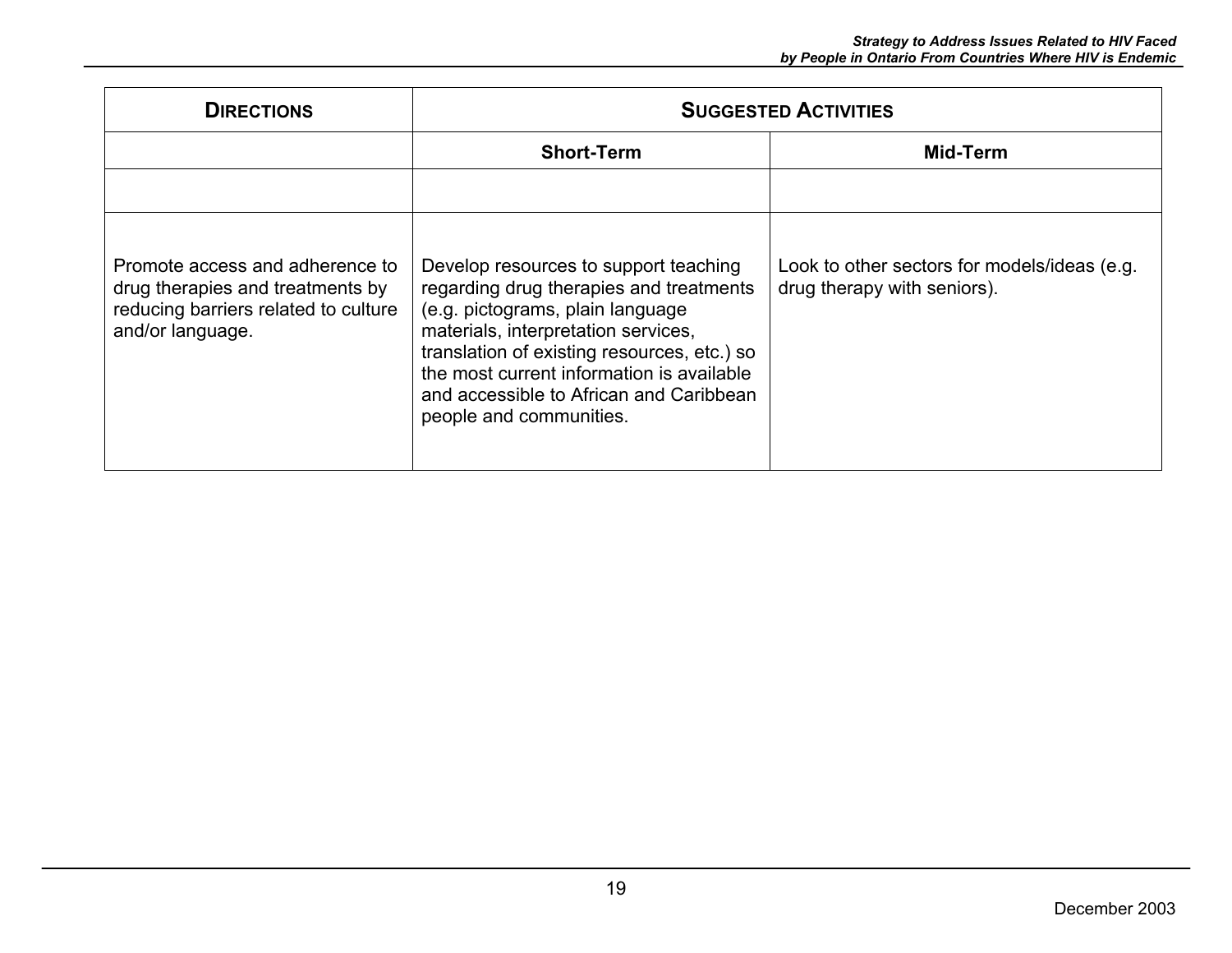| <b>DIRECTIONS</b>                                                                                                               | <b>SUGGESTED ACTIVITIES</b>                                                                                                                                                                                                                                                                                                   |                                                                             |
|---------------------------------------------------------------------------------------------------------------------------------|-------------------------------------------------------------------------------------------------------------------------------------------------------------------------------------------------------------------------------------------------------------------------------------------------------------------------------|-----------------------------------------------------------------------------|
|                                                                                                                                 | <b>Short-Term</b>                                                                                                                                                                                                                                                                                                             | Mid-Term                                                                    |
|                                                                                                                                 |                                                                                                                                                                                                                                                                                                                               |                                                                             |
| Promote access and adherence to<br>drug therapies and treatments by<br>reducing barriers related to culture<br>and/or language. | Develop resources to support teaching<br>regarding drug therapies and treatments<br>(e.g. pictograms, plain language<br>materials, interpretation services,<br>translation of existing resources, etc.) so<br>the most current information is available<br>and accessible to African and Caribbean<br>people and communities. | Look to other sectors for models/ideas (e.g.<br>drug therapy with seniors). |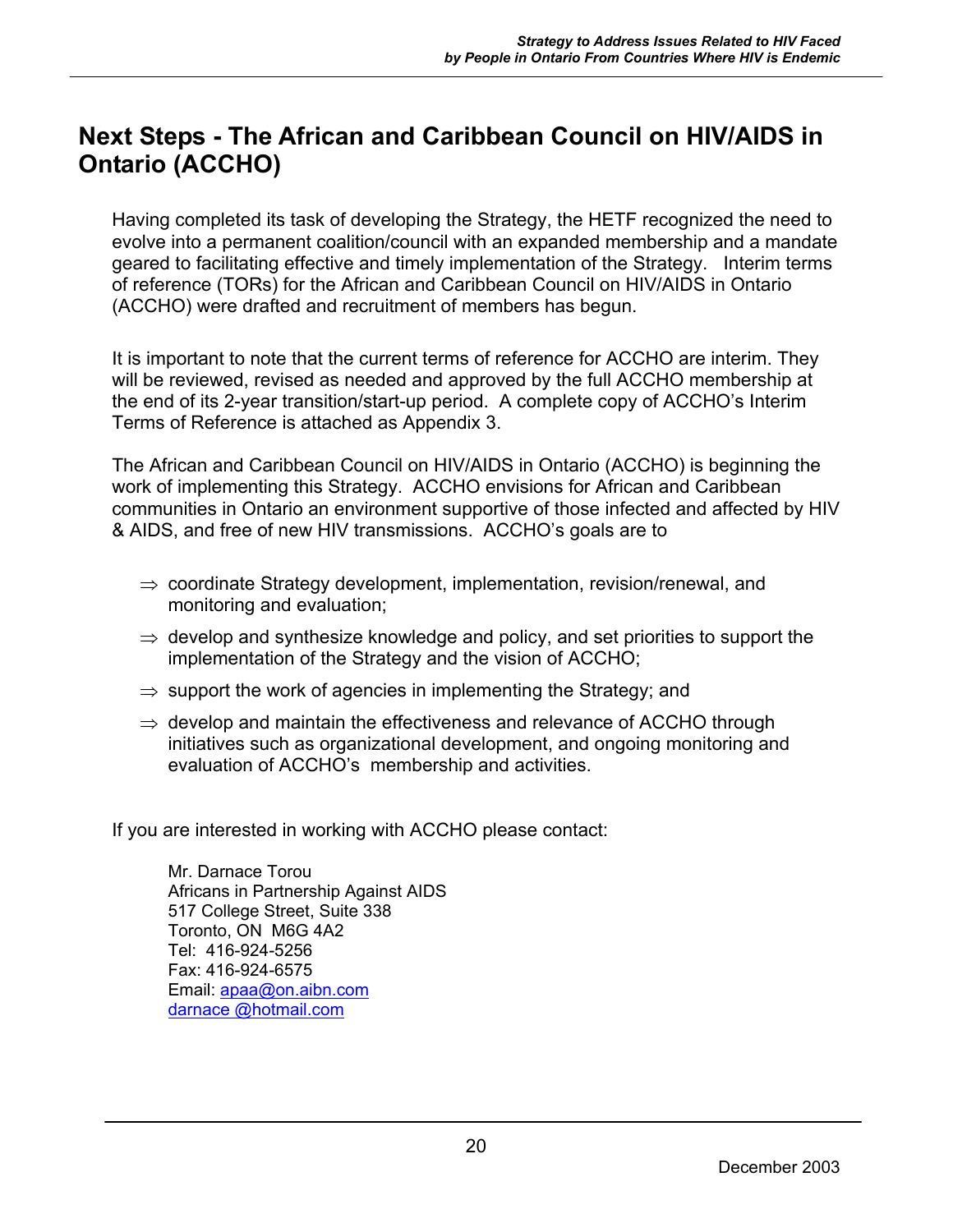## **Next Steps - The African and Caribbean Council on HIV/AIDS in Ontario (ACCHO)**

Having completed its task of developing the Strategy, the HETF recognized the need to evolve into a permanent coalition/council with an expanded membership and a mandate geared to facilitating effective and timely implementation of the Strategy. Interim terms of reference (TORs) for the African and Caribbean Council on HIV/AIDS in Ontario (ACCHO) were drafted and recruitment of members has begun.

It is important to note that the current terms of reference for ACCHO are interim. They will be reviewed, revised as needed and approved by the full ACCHO membership at the end of its 2-year transition/start-up period. A complete copy of ACCHO's Interim Terms of Reference is attached as Appendix 3.

The African and Caribbean Council on HIV/AIDS in Ontario (ACCHO) is beginning the work of implementing this Strategy. ACCHO envisions for African and Caribbean communities in Ontario an environment supportive of those infected and affected by HIV & AIDS, and free of new HIV transmissions. ACCHO's goals are to

- $\Rightarrow$  coordinate Strategy development, implementation, revision/renewal, and monitoring and evaluation;
- $\Rightarrow$  develop and synthesize knowledge and policy, and set priorities to support the implementation of the Strategy and the vision of ACCHO;
- $\Rightarrow$  support the work of agencies in implementing the Strategy; and
- $\Rightarrow$  develop and maintain the effectiveness and relevance of ACCHO through initiatives such as organizational development, and ongoing monitoring and evaluation of ACCHO's membership and activities.

If you are interested in working with ACCHO please contact:

Mr. Darnace Torou Africans in Partnership Against AIDS 517 College Street, Suite 338 Toronto, ON M6G 4A2 Tel: 416-924-5256 Fax: 416-924-6575 Email: apaa@on.aibn.com darnace @hotmail.com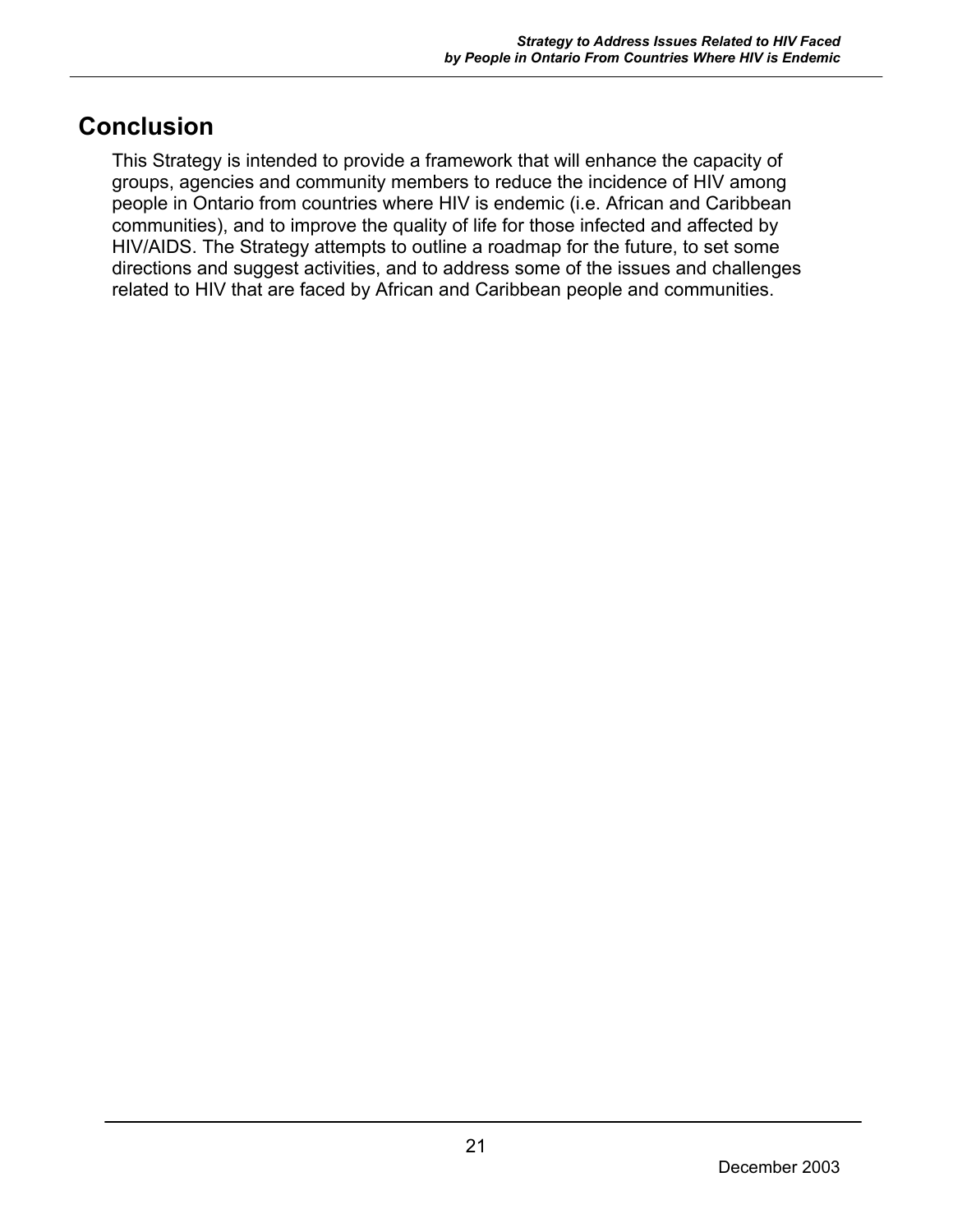## **Conclusion**

This Strategy is intended to provide a framework that will enhance the capacity of groups, agencies and community members to reduce the incidence of HIV among people in Ontario from countries where HIV is endemic (i.e. African and Caribbean communities), and to improve the quality of life for those infected and affected by HIV/AIDS. The Strategy attempts to outline a roadmap for the future, to set some directions and suggest activities, and to address some of the issues and challenges related to HIV that are faced by African and Caribbean people and communities.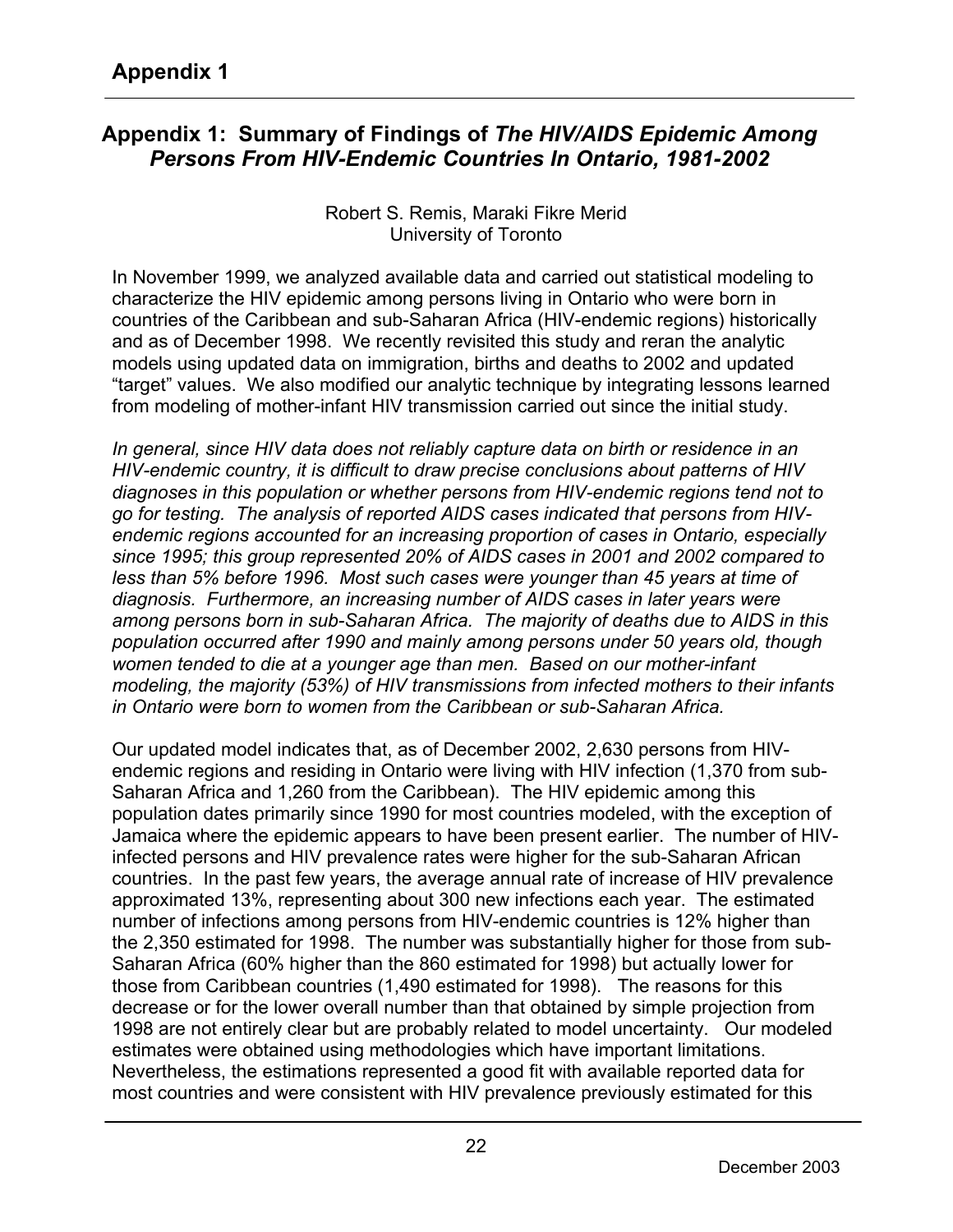## **Appendix 1: Summary of Findings of** *The HIV/AIDS Epidemic Among Persons From HIV-Endemic Countries In Ontario, 1981-2002*

Robert S. Remis, Maraki Fikre Merid University of Toronto

In November 1999, we analyzed available data and carried out statistical modeling to characterize the HIV epidemic among persons living in Ontario who were born in countries of the Caribbean and sub-Saharan Africa (HIV-endemic regions) historically and as of December 1998. We recently revisited this study and reran the analytic models using updated data on immigration, births and deaths to 2002 and updated "target" values. We also modified our analytic technique by integrating lessons learned from modeling of mother-infant HIV transmission carried out since the initial study.

*In general, since HIV data does not reliably capture data on birth or residence in an HIV-endemic country, it is difficult to draw precise conclusions about patterns of HIV diagnoses in this population or whether persons from HIV-endemic regions tend not to go for testing. The analysis of reported AIDS cases indicated that persons from HIVendemic regions accounted for an increasing proportion of cases in Ontario, especially since 1995; this group represented 20% of AIDS cases in 2001 and 2002 compared to less than 5% before 1996. Most such cases were younger than 45 years at time of diagnosis. Furthermore, an increasing number of AIDS cases in later years were among persons born in sub-Saharan Africa. The majority of deaths due to AIDS in this population occurred after 1990 and mainly among persons under 50 years old, though women tended to die at a younger age than men. Based on our mother-infant modeling, the majority (53%) of HIV transmissions from infected mothers to their infants in Ontario were born to women from the Caribbean or sub-Saharan Africa.* 

Our updated model indicates that, as of December 2002, 2,630 persons from HIVendemic regions and residing in Ontario were living with HIV infection (1,370 from sub-Saharan Africa and 1,260 from the Caribbean).The HIV epidemic among this population dates primarily since 1990 for most countries modeled, with the exception of Jamaica where the epidemic appears to have been present earlier. The number of HIVinfected persons and HIV prevalence rates were higher for the sub-Saharan African countries. In the past few years, the average annual rate of increase of HIV prevalence approximated 13%, representing about 300 new infections each year. The estimated number of infections among persons from HIV-endemic countries is 12% higher than the 2,350 estimated for 1998. The number was substantially higher for those from sub-Saharan Africa (60% higher than the 860 estimated for 1998) but actually lower for those from Caribbean countries (1,490 estimated for 1998). The reasons for this decrease or for the lower overall number than that obtained by simple projection from 1998 are not entirely clear but are probably related to model uncertainty. Our modeled estimates were obtained using methodologies which have important limitations. Nevertheless, the estimations represented a good fit with available reported data for most countries and were consistent with HIV prevalence previously estimated for this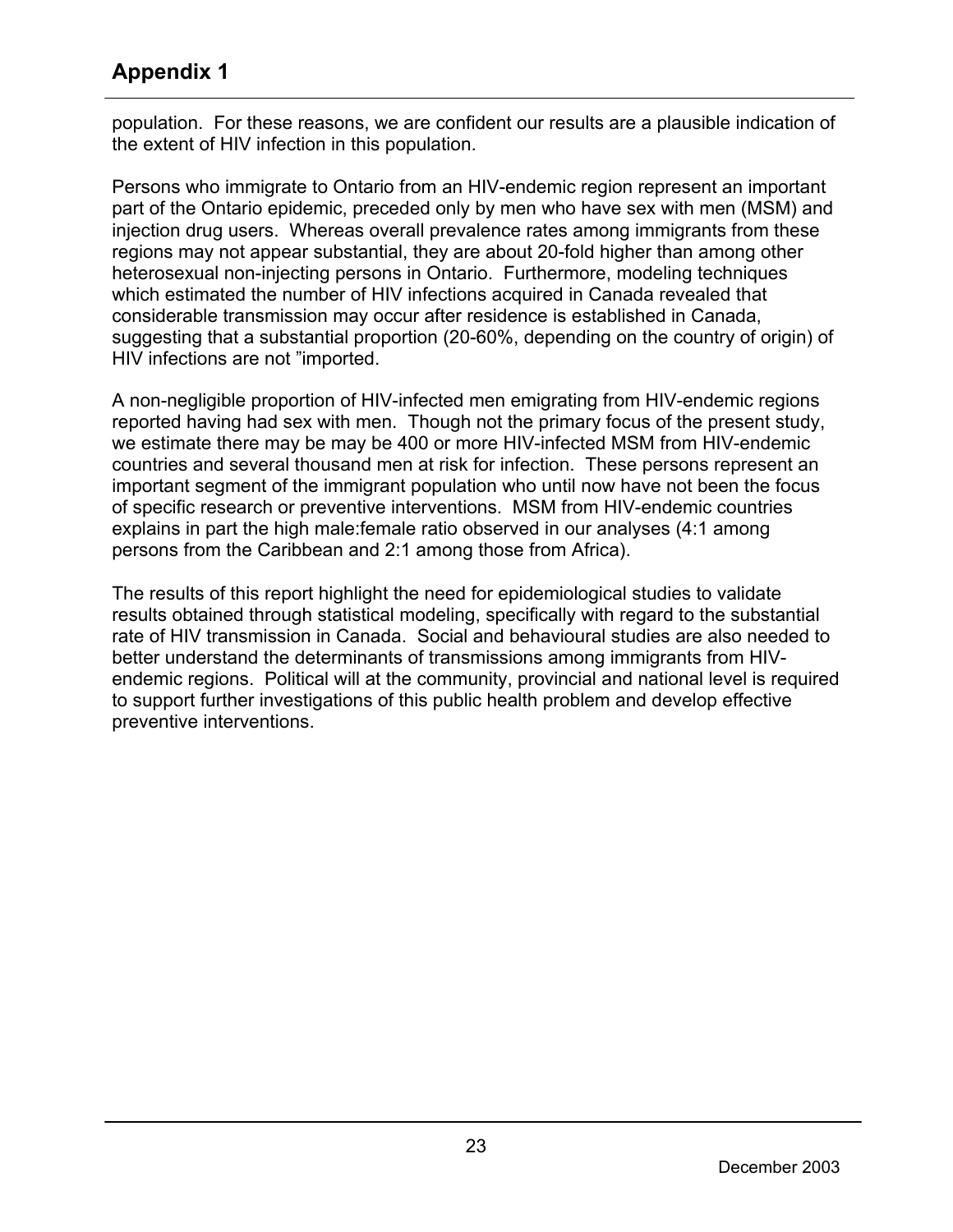## **Appendix 1**

population. For these reasons, we are confident our results are a plausible indication of the extent of HIV infection in this population.

Persons who immigrate to Ontario from an HIV-endemic region represent an important part of the Ontario epidemic, preceded only by men who have sex with men (MSM) and injection drug users. Whereas overall prevalence rates among immigrants from these regions may not appear substantial, they are about 20-fold higher than among other heterosexual non-injecting persons in Ontario. Furthermore, modeling techniques which estimated the number of HIV infections acquired in Canada revealed that considerable transmission may occur after residence is established in Canada, suggesting that a substantial proportion (20-60%, depending on the country of origin) of HIV infections are not "imported.

A non-negligible proportion of HIV-infected men emigrating from HIV-endemic regions reported having had sex with men. Though not the primary focus of the present study, we estimate there may be may be 400 or more HIV-infected MSM from HIV-endemic countries and several thousand men at risk for infection. These persons represent an important segment of the immigrant population who until now have not been the focus of specific research or preventive interventions. MSM from HIV-endemic countries explains in part the high male:female ratio observed in our analyses (4:1 among persons from the Caribbean and 2:1 among those from Africa).

The results of this report highlight the need for epidemiological studies to validate results obtained through statistical modeling, specifically with regard to the substantial rate of HIV transmission in Canada. Social and behavioural studies are also needed to better understand the determinants of transmissions among immigrants from HIVendemic regions. Political will at the community, provincial and national level is required to support further investigations of this public health problem and develop effective preventive interventions.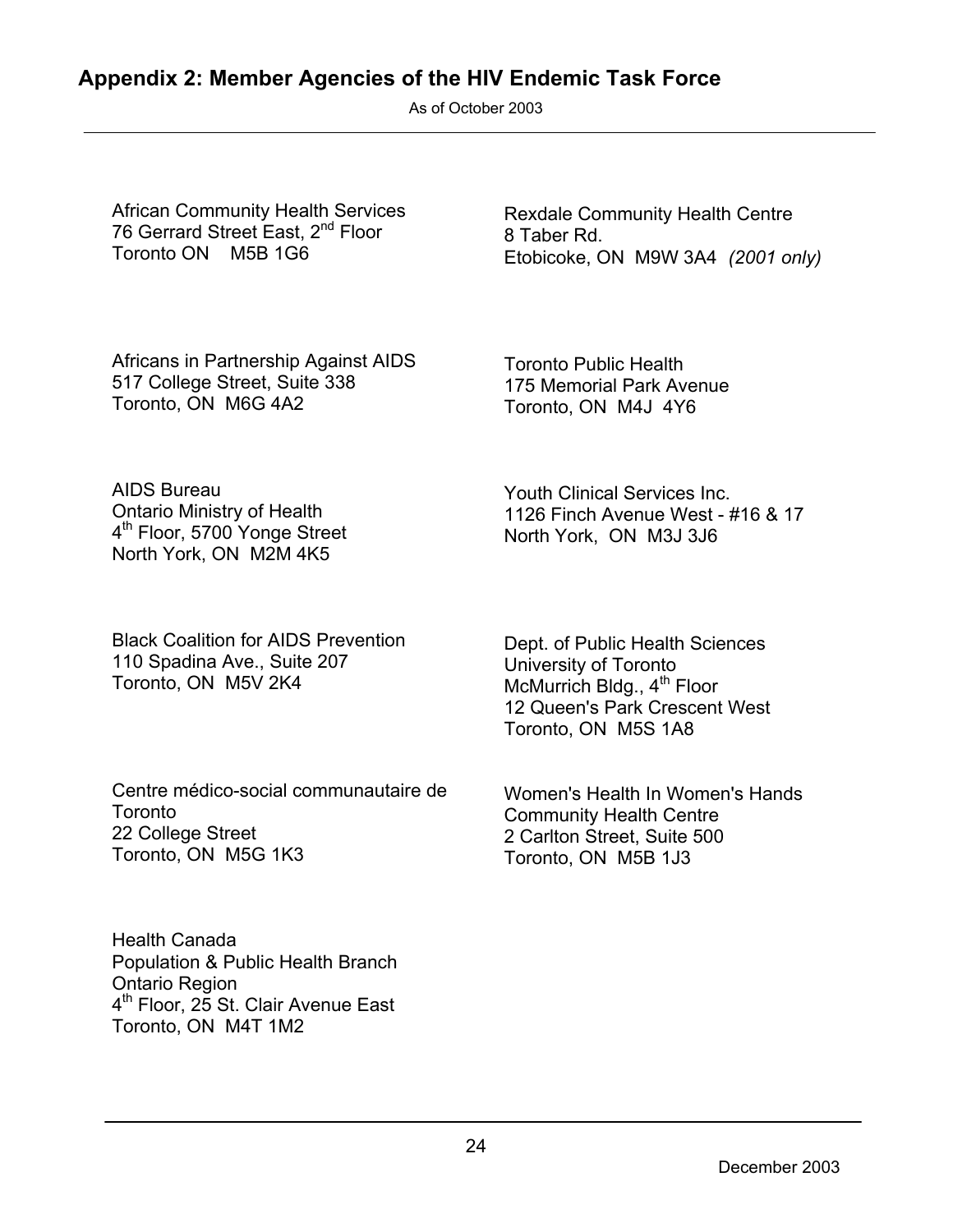## **Appendix 2: Member Agencies of the HIV Endemic Task Force**

As of October 2003

African Community Health Services 76 Gerrard Street East, 2<sup>nd</sup> Floor Toronto ON M5B 1G6

Rexdale Community Health Centre 8 Taber Rd. Etobicoke, ON M9W 3A4 *(2001 only)*

Africans in Partnership Against AIDS 517 College Street, Suite 338 Toronto, ON M6G 4A2

Toronto Public Health 175 Memorial Park Avenue Toronto, ON M4J 4Y6

Youth Clinical Services Inc.

North York, ON M3J 3J6

1126 Finch Avenue West - #16 & 17

AIDS Bureau Ontario Ministry of Health 4<sup>th</sup> Floor, 5700 Yonge Street North York, ON M2M 4K5

Black Coalition for AIDS Prevention 110 Spadina Ave., Suite 207 Toronto, ON M5V 2K4

Centre médico-social communautaire de Toronto 22 College Street Toronto, ON M5G 1K3

Dept. of Public Health Sciences University of Toronto McMurrich Bldg., 4<sup>th</sup> Floor 12 Queen's Park Crescent West Toronto, ON M5S 1A8

Women's Health In Women's Hands Community Health Centre 2 Carlton Street, Suite 500 Toronto, ON M5B 1J3

Health Canada Population & Public Health Branch Ontario Region 4<sup>th</sup> Floor, 25 St. Clair Avenue East Toronto, ON M4T 1M2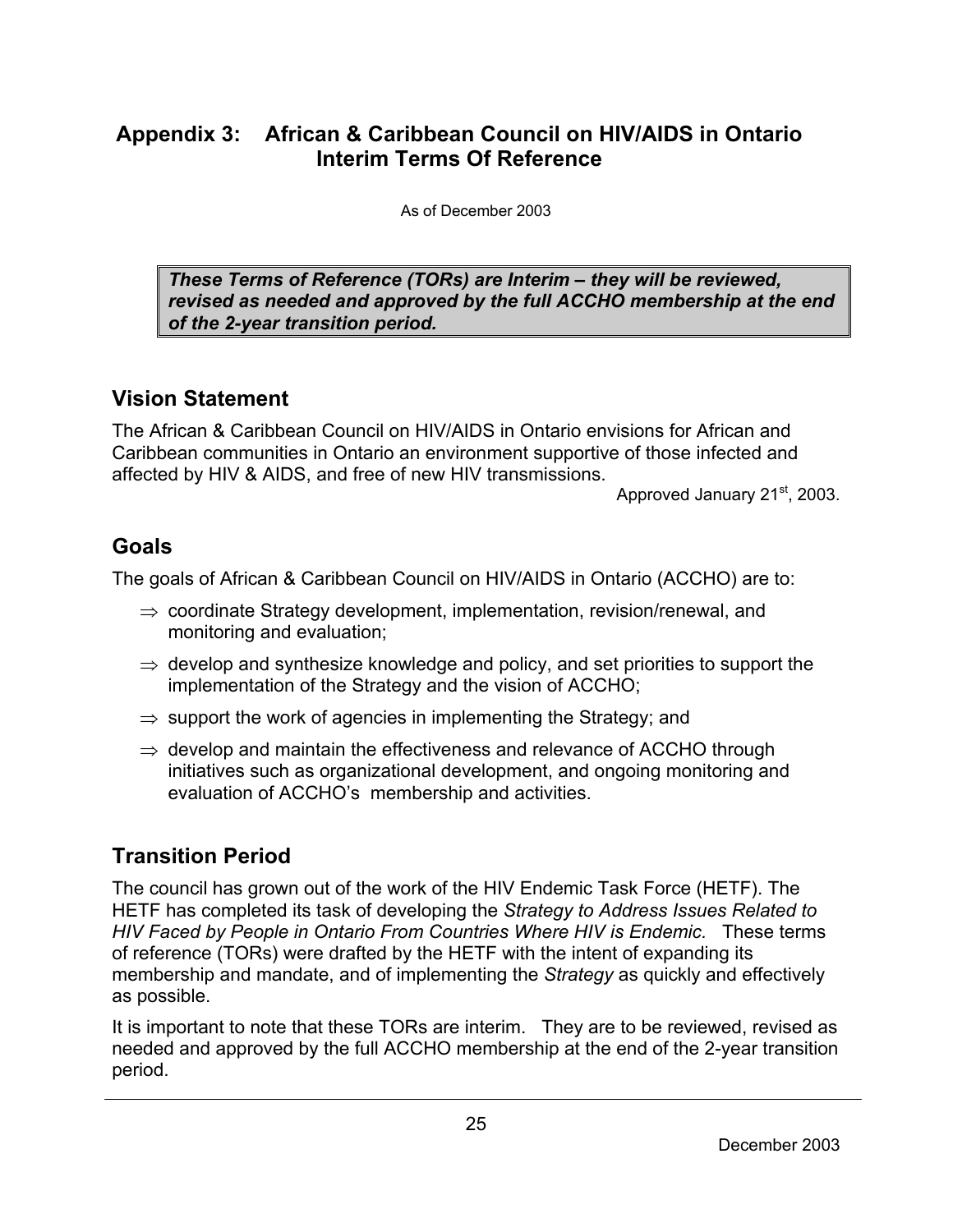## **Appendix 3: African & Caribbean Council on HIV/AIDS in Ontario Interim Terms Of Reference**

As of December 2003

*These Terms of Reference (TORs) are Interim – they will be reviewed, revised as needed and approved by the full ACCHO membership at the end of the 2-year transition period.* 

### **Vision Statement**

The African & Caribbean Council on HIV/AIDS in Ontario envisions for African and Caribbean communities in Ontario an environment supportive of those infected and affected by HIV & AIDS, and free of new HIV transmissions.

Approved January 21<sup>st</sup>, 2003.

## **Goals**

The goals of African & Caribbean Council on HIV/AIDS in Ontario (ACCHO) are to:

- $\Rightarrow$  coordinate Strategy development, implementation, revision/renewal, and monitoring and evaluation;
- $\Rightarrow$  develop and synthesize knowledge and policy, and set priorities to support the implementation of the Strategy and the vision of ACCHO;
- $\Rightarrow$  support the work of agencies in implementing the Strategy; and
- $\Rightarrow$  develop and maintain the effectiveness and relevance of ACCHO through initiatives such as organizational development, and ongoing monitoring and evaluation of ACCHO's membership and activities.

## **Transition Period**

The council has grown out of the work of the HIV Endemic Task Force (HETF). The HETF has completed its task of developing the *Strategy to Address Issues Related to HIV Faced by People in Ontario From Countries Where HIV is Endemic.* These terms of reference (TORs) were drafted by the HETF with the intent of expanding its membership and mandate, and of implementing the *Strategy* as quickly and effectively as possible.

It is important to note that these TORs are interim. They are to be reviewed, revised as needed and approved by the full ACCHO membership at the end of the 2-year transition period.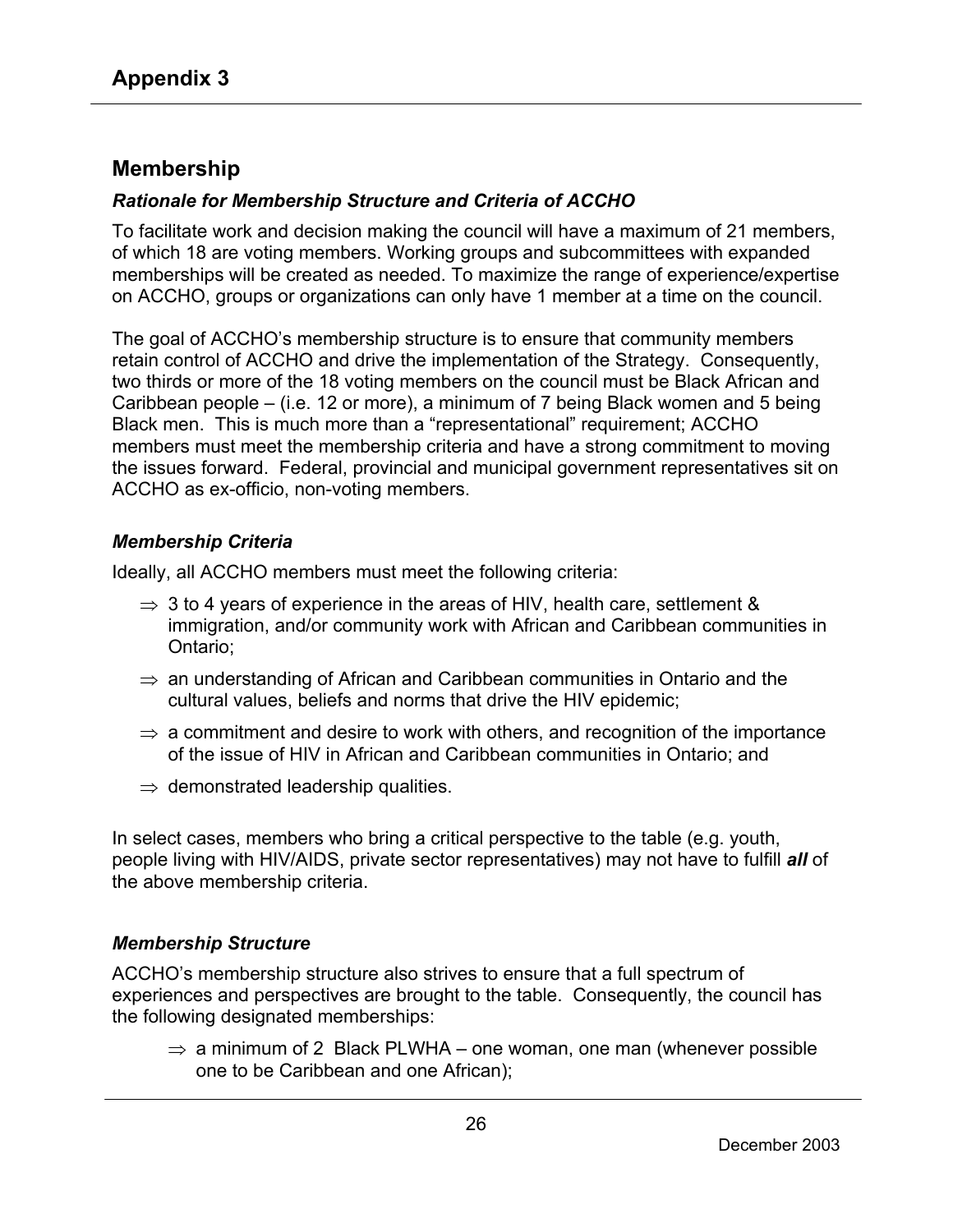### **Membership**

#### *Rationale for Membership Structure and Criteria of ACCHO*

To facilitate work and decision making the council will have a maximum of 21 members, of which 18 are voting members. Working groups and subcommittees with expanded memberships will be created as needed. To maximize the range of experience/expertise on ACCHO, groups or organizations can only have 1 member at a time on the council.

The goal of ACCHO's membership structure is to ensure that community members retain control of ACCHO and drive the implementation of the Strategy. Consequently, two thirds or more of the 18 voting members on the council must be Black African and Caribbean people – (i.e. 12 or more), a minimum of 7 being Black women and 5 being Black men. This is much more than a "representational" requirement; ACCHO members must meet the membership criteria and have a strong commitment to moving the issues forward. Federal, provincial and municipal government representatives sit on ACCHO as ex-officio, non-voting members.

#### *Membership Criteria*

Ideally, all ACCHO members must meet the following criteria:

- $\Rightarrow$  3 to 4 years of experience in the areas of HIV, health care, settlement & immigration, and/or community work with African and Caribbean communities in Ontario;
- $\Rightarrow$  an understanding of African and Caribbean communities in Ontario and the cultural values, beliefs and norms that drive the HIV epidemic;
- $\Rightarrow$  a commitment and desire to work with others, and recognition of the importance of the issue of HIV in African and Caribbean communities in Ontario; and
- $\Rightarrow$  demonstrated leadership qualities.

In select cases, members who bring a critical perspective to the table (e.g. youth, people living with HIV/AIDS, private sector representatives) may not have to fulfill *all* of the above membership criteria.

#### *Membership Structure*

ACCHO's membership structure also strives to ensure that a full spectrum of experiences and perspectives are brought to the table. Consequently, the council has the following designated memberships:

 $\Rightarrow$  a minimum of 2 Black PLWHA – one woman, one man (whenever possible one to be Caribbean and one African);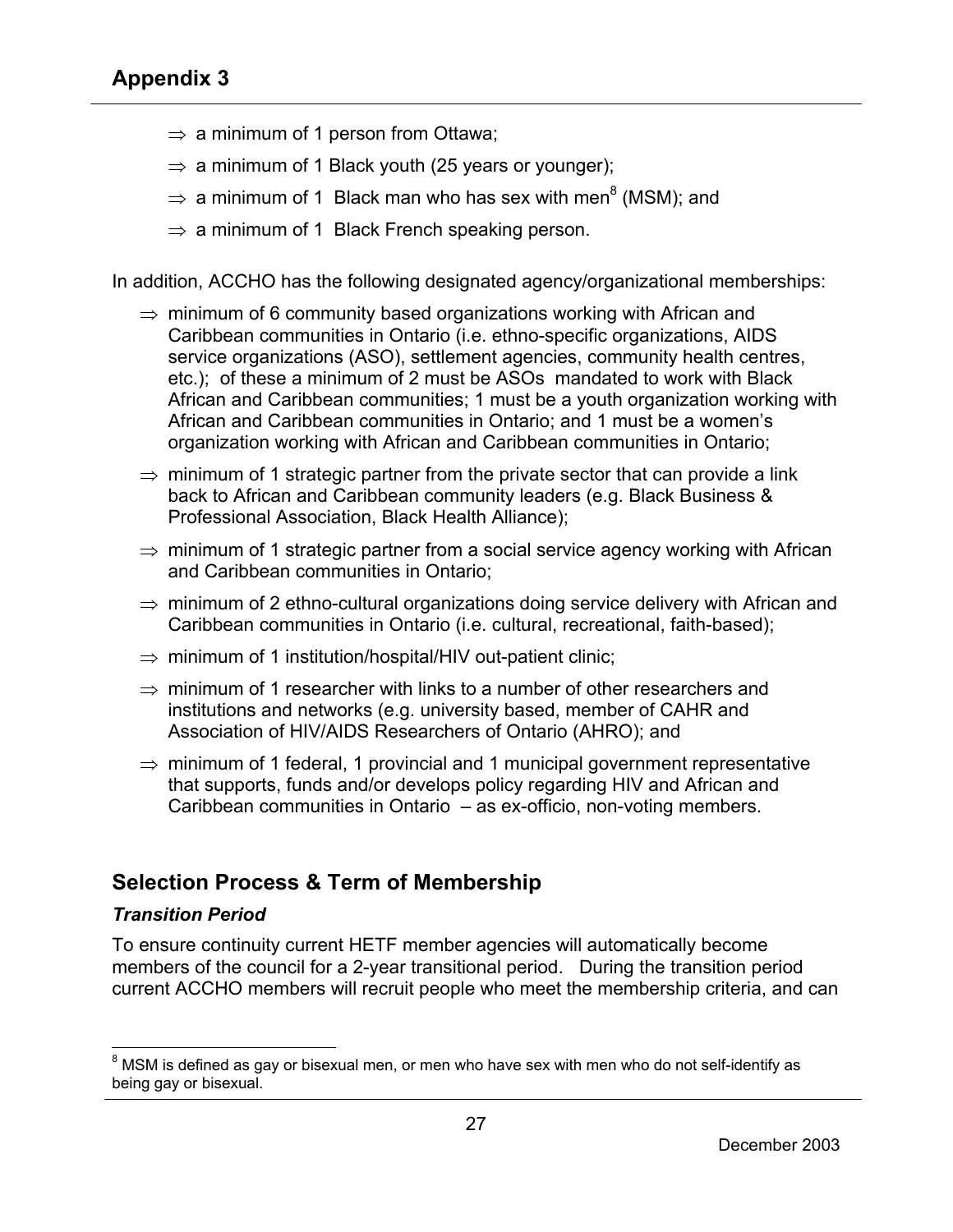- $\Rightarrow$  a minimum of 1 person from Ottawa;
- $\Rightarrow$  a minimum of 1 Black youth (25 years or younger);
- $\Rightarrow$  a minimum of 1 Black man who has sex with men<sup>8</sup> (MSM); and
- $\Rightarrow$  a minimum of 1 Black French speaking person.

In addition, ACCHO has the following designated agency/organizational memberships:

- $\Rightarrow$  minimum of 6 community based organizations working with African and Caribbean communities in Ontario (i.e. ethno-specific organizations, AIDS service organizations (ASO), settlement agencies, community health centres, etc.); of these a minimum of 2 must be ASOs mandated to work with Black African and Caribbean communities; 1 must be a youth organization working with African and Caribbean communities in Ontario; and 1 must be a women's organization working with African and Caribbean communities in Ontario;
- $\Rightarrow$  minimum of 1 strategic partner from the private sector that can provide a link back to African and Caribbean community leaders (e.g. Black Business & Professional Association, Black Health Alliance);
- $\Rightarrow$  minimum of 1 strategic partner from a social service agency working with African and Caribbean communities in Ontario;
- $\Rightarrow$  minimum of 2 ethno-cultural organizations doing service delivery with African and Caribbean communities in Ontario (i.e. cultural, recreational, faith-based);
- $\Rightarrow$  minimum of 1 institution/hospital/HIV out-patient clinic;
- $\Rightarrow$  minimum of 1 researcher with links to a number of other researchers and institutions and networks (e.g. university based, member of CAHR and Association of HIV/AIDS Researchers of Ontario (AHRO); and
- $\Rightarrow$  minimum of 1 federal, 1 provincial and 1 municipal government representative that supports, funds and/or develops policy regarding HIV and African and Caribbean communities in Ontario – as ex-officio, non-voting members.

## **Selection Process & Term of Membership**

#### *Transition Period*

 $\overline{a}$ 

To ensure continuity current HETF member agencies will automatically become members of the council for a 2-year transitional period. During the transition period current ACCHO members will recruit people who meet the membership criteria, and can

 $^8$  MSM is defined as gay or bisexual men, or men who have sex with men who do not self-identify as being gay or bisexual.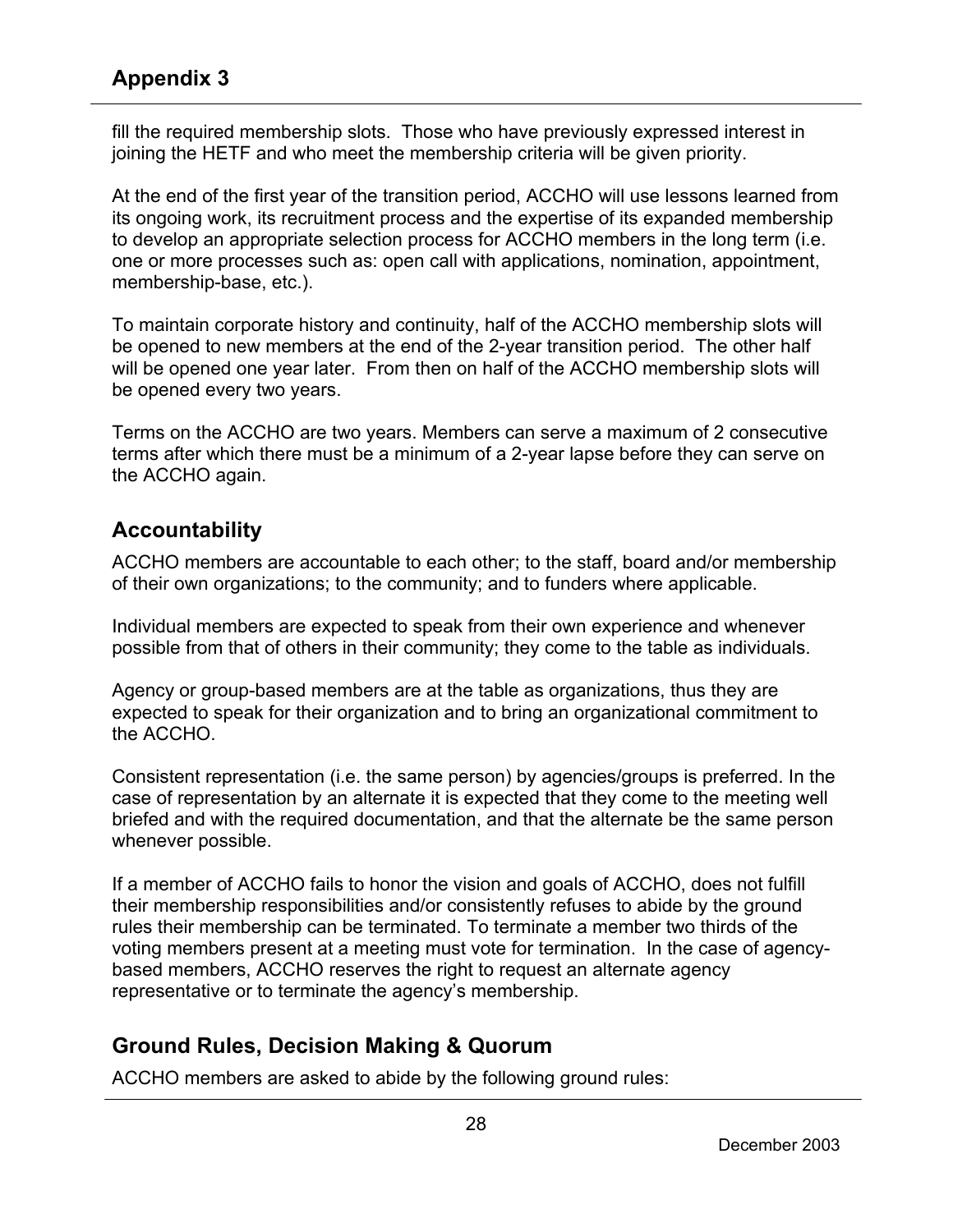fill the required membership slots. Those who have previously expressed interest in joining the HETF and who meet the membership criteria will be given priority.

At the end of the first year of the transition period, ACCHO will use lessons learned from its ongoing work, its recruitment process and the expertise of its expanded membership to develop an appropriate selection process for ACCHO members in the long term (i.e. one or more processes such as: open call with applications, nomination, appointment, membership-base, etc.).

To maintain corporate history and continuity, half of the ACCHO membership slots will be opened to new members at the end of the 2-year transition period. The other half will be opened one year later. From then on half of the ACCHO membership slots will be opened every two years.

Terms on the ACCHO are two years. Members can serve a maximum of 2 consecutive terms after which there must be a minimum of a 2-year lapse before they can serve on the ACCHO again.

## **Accountability**

ACCHO members are accountable to each other; to the staff, board and/or membership of their own organizations; to the community; and to funders where applicable.

Individual members are expected to speak from their own experience and whenever possible from that of others in their community; they come to the table as individuals.

Agency or group-based members are at the table as organizations, thus they are expected to speak for their organization and to bring an organizational commitment to the ACCHO.

Consistent representation (i.e. the same person) by agencies/groups is preferred. In the case of representation by an alternate it is expected that they come to the meeting well briefed and with the required documentation, and that the alternate be the same person whenever possible.

If a member of ACCHO fails to honor the vision and goals of ACCHO, does not fulfill their membership responsibilities and/or consistently refuses to abide by the ground rules their membership can be terminated. To terminate a member two thirds of the voting members present at a meeting must vote for termination. In the case of agencybased members, ACCHO reserves the right to request an alternate agency representative or to terminate the agency's membership.

## **Ground Rules, Decision Making & Quorum**

ACCHO members are asked to abide by the following ground rules: